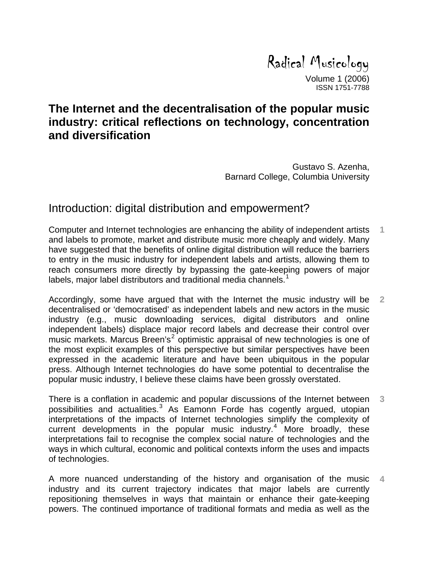Radical Musicology

Volume 1 (2006) ISSN 1751-7788

# **The Internet and the decentralisation of the popular music industry: critical reflections on technology, concentration and diversification**

Gustavo S. Azenha, Barnard College, Columbia University

## Introduction: digital distribution and empowerment?

Computer and Internet technologies are enhancing the ability of independent artists and labels to promote, market and distribute music more cheaply and widely. Many have suggested that the benefits of online digital distribution will reduce the barriers to entry in the music industry for independent labels and artists, allowing them to reach consumers more directly by bypassing the gate-keeping powers of major labels, maior label distributors and traditional media channels.<sup>[1](#page-43-0)</sup> **1** 

Accordingly, some have argued that with the Internet the music industry will be decentralised or 'democratised' as independent labels and new actors in the music industry (e.g., music downloading services, digital distributors and online independent labels) displace major record labels and decrease their control over music markets. Marcus Breen's<sup>[2](#page-43-1)</sup> optimistic appraisal of new technologies is one of the most explicit examples of this perspective but similar perspectives have been expressed in the academic literature and have been ubiquitous in the popular press. Although Internet technologies do have some potential to decentralise the popular music industry, I believe these claims have been grossly overstated. **2** 

There is a conflation in academic and popular discussions of the Internet between possibilities and actualities.<sup>[3](#page-43-1)</sup> As Eamonn Forde has cogently argued, utopian interpretations of the impacts of Internet technologies simplify the complexity of current developments in the popular music industry.<sup>[4](#page-43-1)</sup> More broadly, these interpretations fail to recognise the complex social nature of technologies and the ways in which cultural, economic and political contexts inform the uses and impacts of technologies. **3** 

A more nuanced understanding of the history and organisation of the music industry and its current trajectory indicates that major labels are currently repositioning themselves in ways that maintain or enhance their gate-keeping powers. The continued importance of traditional formats and media as well as the **4**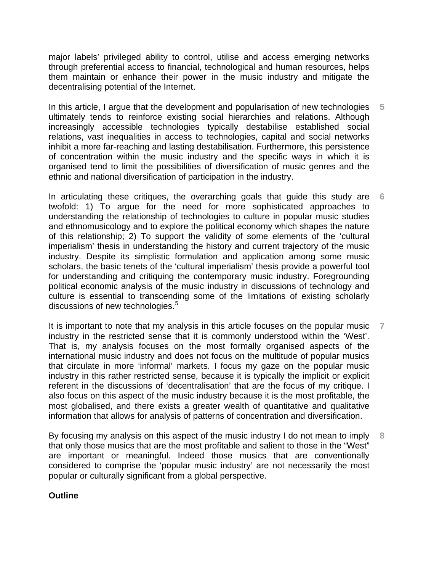major labels' privileged ability to control, utilise and access emerging networks through preferential access to financial, technological and human resources, helps them maintain or enhance their power in the music industry and mitigate the decentralising potential of the Internet.

In this article, I argue that the development and popularisation of new technologies ultimately tends to reinforce existing social hierarchies and relations. Although increasingly accessible technologies typically destabilise established social relations, vast inequalities in access to technologies, capital and social networks inhibit a more far-reaching and lasting destabilisation. Furthermore, this persistence of concentration within the music industry and the specific ways in which it is organised tend to limit the possibilities of diversification of music genres and the ethnic and national diversification of participation in the industry. **5** 

In articulating these critiques, the overarching goals that guide this study are twofold: 1) To argue for the need for more sophisticated approaches to understanding the relationship of technologies to culture in popular music studies and ethnomusicology and to explore the political economy which shapes the nature of this relationship; 2) To support the validity of some elements of the 'cultural imperialism' thesis in understanding the history and current trajectory of the music industry. Despite its simplistic formulation and application among some music scholars, the basic tenets of the 'cultural imperialism' thesis provide a powerful tool for understanding and critiquing the contemporary music industry. Foregrounding political economic analysis of the music industry in discussions of technology and culture is essential to transcending some of the limitations of existing scholarly discussions of new technologies.<sup>[5](#page-43-1)</sup> **6** 

It is important to note that my analysis in this article focuses on the popular music industry in the restricted sense that it is commonly understood within the 'West'. That is, my analysis focuses on the most formally organised aspects of the international music industry and does not focus on the multitude of popular musics that circulate in more 'informal' markets. I focus my gaze on the popular music industry in this rather restricted sense, because it is typically the implicit or explicit referent in the discussions of 'decentralisation' that are the focus of my critique. I also focus on this aspect of the music industry because it is the most profitable, the most globalised, and there exists a greater wealth of quantitative and qualitative information that allows for analysis of patterns of concentration and diversification. **7** 

By focusing my analysis on this aspect of the music industry I do not mean to imply that only those musics that are the most profitable and salient to those in the "West" are important or meaningful. Indeed those musics that are conventionally considered to comprise the 'popular music industry' are not necessarily the most popular or culturally significant from a global perspective. **8** 

#### **Outline**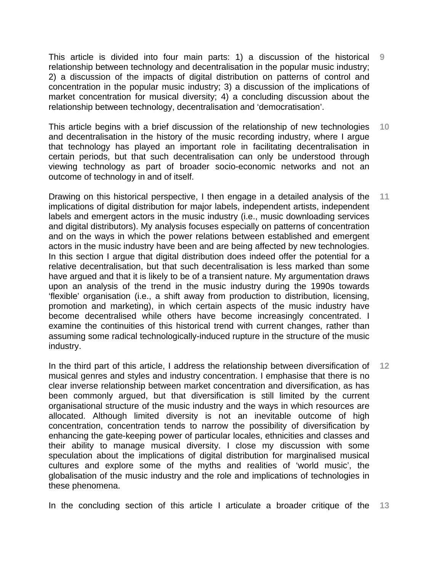This article is divided into four main parts: 1) a discussion of the historical relationship between technology and decentralisation in the popular music industry; 2) a discussion of the impacts of digital distribution on patterns of control and concentration in the popular music industry; 3) a discussion of the implications of market concentration for musical diversity; 4) a concluding discussion about the relationship between technology, decentralisation and 'democratisation'. **9** 

This article begins with a brief discussion of the relationship of new technologies and decentralisation in the history of the music recording industry, where I argue that technology has played an important role in facilitating decentralisation in certain periods, but that such decentralisation can only be understood through viewing technology as part of broader socio-economic networks and not an outcome of technology in and of itself. **10** 

Drawing on this historical perspective, I then engage in a detailed analysis of the implications of digital distribution for major labels, independent artists, independent labels and emergent actors in the music industry (i.e., music downloading services and digital distributors). My analysis focuses especially on patterns of concentration and on the ways in which the power relations between established and emergent actors in the music industry have been and are being affected by new technologies. In this section I argue that digital distribution does indeed offer the potential for a relative decentralisation, but that such decentralisation is less marked than some have argued and that it is likely to be of a transient nature. My argumentation draws upon an analysis of the trend in the music industry during the 1990s towards 'flexible' organisation (i.e., a shift away from production to distribution, licensing, promotion and marketing), in which certain aspects of the music industry have become decentralised while others have become increasingly concentrated. I examine the continuities of this historical trend with current changes, rather than assuming some radical technologically-induced rupture in the structure of the music industry. **11** 

In the third part of this article, I address the relationship between diversification of musical genres and styles and industry concentration. I emphasise that there is no clear inverse relationship between market concentration and diversification, as has been commonly argued, but that diversification is still limited by the current organisational structure of the music industry and the ways in which resources are allocated. Although limited diversity is not an inevitable outcome of high concentration, concentration tends to narrow the possibility of diversification by enhancing the gate-keeping power of particular locales, ethnicities and classes and their ability to manage musical diversity. I close my discussion with some speculation about the implications of digital distribution for marginalised musical cultures and explore some of the myths and realities of 'world music', the globalisation of the music industry and the role and implications of technologies in these phenomena. **12** 

In the concluding section of this article I articulate a broader critique of the **13**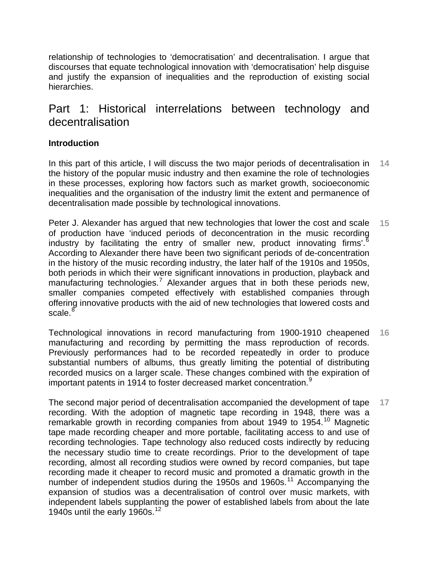relationship of technologies to 'democratisation' and decentralisation. I argue that discourses that equate technological innovation with 'democratisation' help disguise and justify the expansion of inequalities and the reproduction of existing social hierarchies.

# Part 1: Historical interrelations between technology and decentralisation

## **Introduction**

In this part of this article, I will discuss the two major periods of decentralisation in the history of the popular music industry and then examine the role of technologies in these processes, exploring how factors such as market growth, socioeconomic inequalities and the organisation of the industry limit the extent and permanence of decentralisation made possible by technological innovations. **14** 

Peter J. Alexander has argued that new technologies that lower the cost and scale of production have 'induced periods of deconcentration in the music recording industry by facilitating the entry of smaller new, product innovating firms'. $6$ According to Alexander there have been two significant periods of de-concentration in the history of the music recording industry, the later half of the 1910s and 1950s, both periods in which their were significant innovations in production, playback and manufacturing technologies.<sup>[7](#page-43-1)</sup> Alexander argues that in both these periods new, smaller companies competed effectively with established companies through offering innovative products with the aid of new technologies that lowered costs and scale. $^8$  $^8$ **15** 

Technological innovations in record manufacturing from 1900-1910 cheapened manufacturing and recording by permitting the mass reproduction of records. Previously performances had to be recorded repeatedly in order to produce substantial numbers of albums, thus greatly limiting the potential of distributing recorded musics on a larger scale. These changes combined with the expiration of important patents in 1[9](#page-43-1)14 to foster decreased market concentration. $9$ **16** 

The second major period of decentralisation accompanied the development of tape recording. With the adoption of magnetic tape recording in 1948, there was a remarkable growth in recording companies from about 1949 to 1954.<sup>[10](#page-43-1)</sup> Magnetic tape made recording cheaper and more portable, facilitating access to and use of recording technologies. Tape technology also reduced costs indirectly by reducing the necessary studio time to create recordings. Prior to the development of tape recording, almost all recording studios were owned by record companies, but tape recording made it cheaper to record music and promoted a dramatic growth in the number of independent studios during the 1950s and 1960s.<sup>[11](#page-43-1)</sup> Accompanying the expansion of studios was a decentralisation of control over music markets, with independent labels supplanting the power of established labels from about the late 1940s until the early 1960s.<sup>[12](#page-43-1)</sup> **17**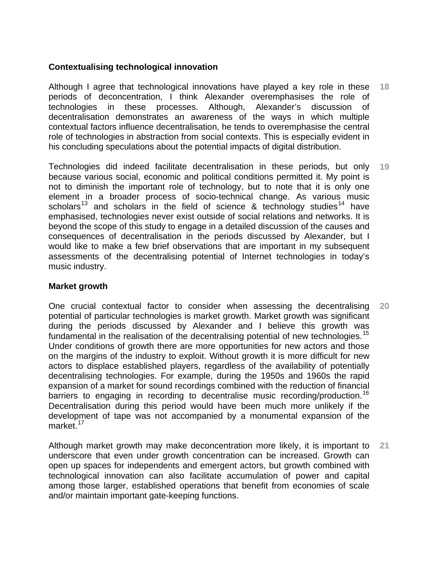## **Contextualising technological innovation**

Although I agree that technological innovations have played a key role in these periods of deconcentration, I think Alexander overemphasises the role of technologies in these processes. Although, Alexander's discussion of decentralisation demonstrates an awareness of the ways in which multiple contextual factors influence decentralisation, he tends to overemphasise the central role of technologies in abstraction from social contexts. This is especially evident in his concluding speculations about the potential impacts of digital distribution. **18** 

Technologies did indeed facilitate decentralisation in these periods, but only because various social, economic and political conditions permitted it. My point is not to diminish the important role of technology, but to note that it is only one element in a broader process of socio-technical change. As various music scholars<sup>[13](#page-43-1)</sup> and scholars in the field of science & technology studies<sup>[14](#page-43-1)</sup> have emphasised, technologies never exist outside of social relations and networks. It is beyond the scope of this study to engage in a detailed discussion of the causes and consequences of decentralisation in the periods discussed by Alexander, but I would like to make a few brief observations that are important in my subsequent assessments of the decentralising potential of Internet technologies in today's music industry. **19** 

### **Market growth**

One crucial contextual factor to consider when assessing the decentralising potential of particular technologies is market growth. Market growth was significant during the periods discussed by Alexander and I believe this growth was fundamental in the realisation of the decentralising potential of new technologies.<sup>[15](#page-43-1)</sup> Under conditions of growth there are more opportunities for new actors and those on the margins of the industry to exploit. Without growth it is more difficult for new actors to displace established players, regardless of the availability of potentially decentralising technologies. For example, during the 1950s and 1960s the rapid expansion of a market for sound recordings combined with the reduction of financial barriers to engaging in recording to decentralise music recording/production.<sup>[16](#page-43-1)</sup> Decentralisation during this period would have been much more unlikely if the development of tape was not accompanied by a monumental expansion of the market.<sup>[17](#page-43-1)</sup> **20** 

Although market growth may make deconcentration more likely, it is important to underscore that even under growth concentration can be increased. Growth can open up spaces for independents and emergent actors, but growth combined with technological innovation can also facilitate accumulation of power and capital among those larger, established operations that benefit from economies of scale and/or maintain important gate-keeping functions. **21**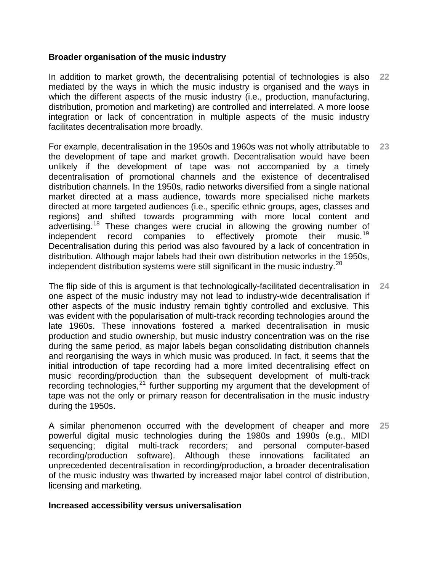### **Broader organisation of the music industry**

In addition to market growth, the decentralising potential of technologies is also mediated by the ways in which the music industry is organised and the ways in which the different aspects of the music industry (i.e., production, manufacturing, distribution, promotion and marketing) are controlled and interrelated. A more loose integration or lack of concentration in multiple aspects of the music industry facilitates decentralisation more broadly. **22** 

For example, decentralisation in the 1950s and 1960s was not wholly attributable to the development of tape and market growth. Decentralisation would have been unlikely if the development of tape was not accompanied by a timely decentralisation of promotional channels and the existence of decentralised distribution channels. In the 1950s, radio networks diversified from a single national market directed at a mass audience, towards more specialised niche markets directed at more targeted audiences (i.e., specific ethnic groups, ages, classes and regions) and shifted towards programming with more local content and advertising.<sup>[18](#page-43-1)</sup> These changes were crucial in allowing the growing number of independent record companies to effectively promote their music.<sup>[19](#page-43-1)</sup> Decentralisation during this period was also favoured by a lack of concentration in distribution. Although major labels had their own distribution networks in the 1950s, independent distribution systems were still significant in the music industry.<sup>[20](#page-43-1)</sup> **23** 

The flip side of this is argument is that technologically-facilitated decentralisation in one aspect of the music industry may not lead to industry-wide decentralisation if other aspects of the music industry remain tightly controlled and exclusive. This was evident with the popularisation of multi-track recording technologies around the late 1960s. These innovations fostered a marked decentralisation in music production and studio ownership, but music industry concentration was on the rise during the same period, as major labels began consolidating distribution channels and reorganising the ways in which music was produced. In fact, it seems that the initial introduction of tape recording had a more limited decentralising effect on music recording/production than the subsequent development of multi-track recording technologies, $^{21}$  $^{21}$  $^{21}$  further supporting my argument that the development of tape was not the only or primary reason for decentralisation in the music industry during the 1950s. **24** 

A similar phenomenon occurred with the development of cheaper and more powerful digital music technologies during the 1980s and 1990s (e.g., MIDI sequencing; digital multi-track recorders; and personal computer-based recording/production software). Although these innovations facilitated an unprecedented decentralisation in recording/production, a broader decentralisation of the music industry was thwarted by increased major label control of distribution, licensing and marketing. **25** 

#### **Increased accessibility versus universalisation**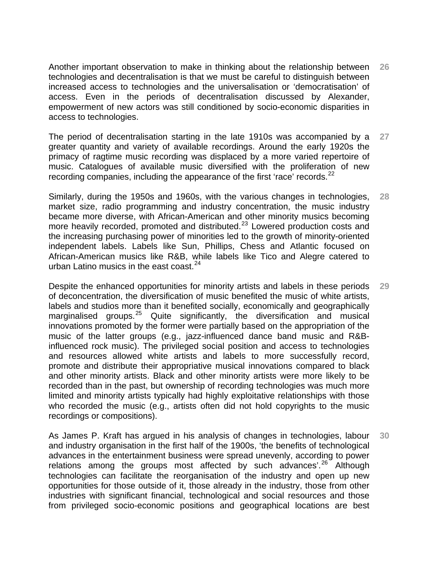Another important observation to make in thinking about the relationship between technologies and decentralisation is that we must be careful to distinguish between increased access to technologies and the universalisation or 'democratisation' of access. Even in the periods of decentralisation discussed by Alexander, empowerment of new actors was still conditioned by socio-economic disparities in access to technologies. **26** 

The period of decentralisation starting in the late 1910s was accompanied by a greater quantity and variety of available recordings. Around the early 1920s the primacy of ragtime music recording was displaced by a more varied repertoire of music. Catalogues of available music diversified with the proliferation of new recording companies, including the appearance of the first 'race' records.<sup>[22](#page-43-1)</sup> **27** 

Similarly, during the 1950s and 1960s, with the various changes in technologies, market size, radio programming and industry concentration, the music industry became more diverse, with African-American and other minority musics becoming more heavily recorded, promoted and distributed.<sup>[23](#page-43-1)</sup> Lowered production costs and the increasing purchasing power of minorities led to the growth of minority-oriented independent labels. Labels like Sun, Phillips, Chess and Atlantic focused on African-American musics like R&B, while labels like Tico and Alegre catered to urban Latino musics in the east coast.  $24$ **28** 

Despite the enhanced opportunities for minority artists and labels in these periods of deconcentration, the diversification of music benefited the music of white artists, labels and studios more than it benefited socially, economically and geographically marginalised groups.<sup>[25](#page-43-1)</sup> Quite significantly, the diversification and musical innovations promoted by the former were partially based on the appropriation of the music of the latter groups (e.g., jazz-influenced dance band music and R&Binfluenced rock music). The privileged social position and access to technologies and resources allowed white artists and labels to more successfully record, promote and distribute their appropriative musical innovations compared to black and other minority artists. Black and other minority artists were more likely to be recorded than in the past, but ownership of recording technologies was much more limited and minority artists typically had highly exploitative relationships with those who recorded the music (e.g., artists often did not hold copyrights to the music recordings or compositions). **29** 

As James P. Kraft has argued in his analysis of changes in technologies, labour and industry organisation in the first half of the 1900s, 'the benefits of technological advances in the entertainment business were spread unevenly, according to power relations among the groups most affected by such advances<sup>'.[26](#page-43-1)</sup> Although technologies can facilitate the reorganisation of the industry and open up new opportunities for those outside of it, those already in the industry, those from other industries with significant financial, technological and social resources and those from privileged socio-economic positions and geographical locations are best **30**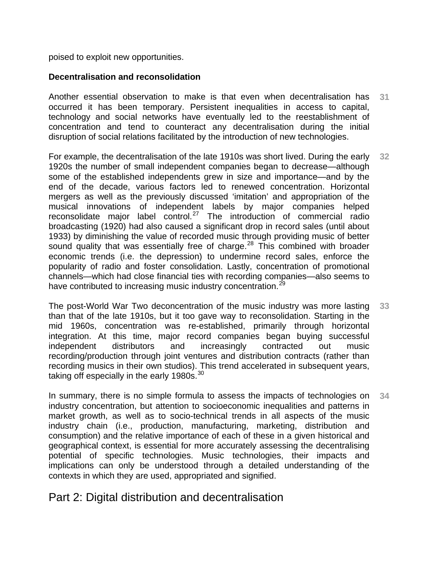poised to exploit new opportunities.

## **Decentralisation and reconsolidation**

Another essential observation to make is that even when decentralisation has occurred it has been temporary. Persistent inequalities in access to capital, technology and social networks have eventually led to the reestablishment of concentration and tend to counteract any decentralisation during the initial disruption of social relations facilitated by the introduction of new technologies. **31** 

For example, the decentralisation of the late 1910s was short lived. During the early 1920s the number of small independent companies began to decrease—although some of the established independents grew in size and importance—and by the end of the decade, various factors led to renewed concentration. Horizontal mergers as well as the previously discussed 'imitation' and appropriation of the musical innovations of independent labels by major companies helped reconsolidate major label control.<sup>[27](#page-43-1)</sup> The introduction of commercial radio broadcasting (1920) had also caused a significant drop in record sales (until about 1933) by diminishing the value of recorded music through providing music of better sound quality that was essentially free of charge.<sup>[28](#page-43-1)</sup> This combined with broader economic trends (i.e. the depression) to undermine record sales, enforce the popularity of radio and foster consolidation. Lastly, concentration of promotional channels—which had close financial ties with recording companies—also seems to have contributed to increasing music industry concentration.<sup>[29](#page-43-1)</sup> **32** 

The post-World War Two deconcentration of the music industry was more lasting than that of the late 1910s, but it too gave way to reconsolidation. Starting in the mid 1960s, concentration was re-established, primarily through horizontal integration. At this time, major record companies began buying successful independent distributors and increasingly contracted out music recording/production through joint ventures and distribution contracts (rather than recording musics in their own studios). This trend accelerated in subsequent years, taking off especially in the early 1980s. $^{30}$  $^{30}$  $^{30}$ **33** 

In summary, there is no simple formula to assess the impacts of technologies on industry concentration, but attention to socioeconomic inequalities and patterns in market growth, as well as to socio-technical trends in all aspects of the music industry chain (i.e., production, manufacturing, marketing, distribution and consumption) and the relative importance of each of these in a given historical and geographical context, is essential for more accurately assessing the decentralising potential of specific technologies. Music technologies, their impacts and implications can only be understood through a detailed understanding of the contexts in which they are used, appropriated and signified. **34** 

# Part 2: Digital distribution and decentralisation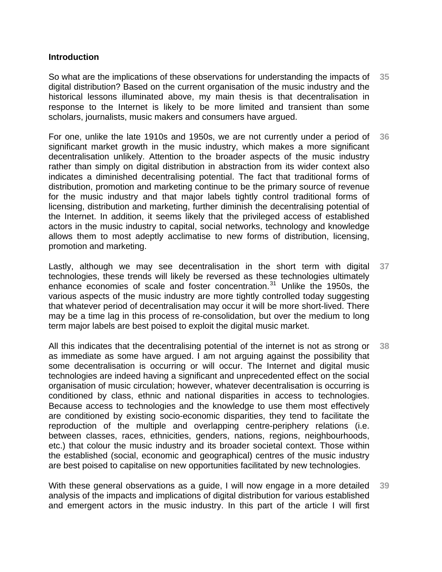### **Introduction**

So what are the implications of these observations for understanding the impacts of digital distribution? Based on the current organisation of the music industry and the historical lessons illuminated above, my main thesis is that decentralisation in response to the Internet is likely to be more limited and transient than some scholars, journalists, music makers and consumers have argued. **35** 

For one, unlike the late 1910s and 1950s, we are not currently under a period of significant market growth in the music industry, which makes a more significant decentralisation unlikely. Attention to the broader aspects of the music industry rather than simply on digital distribution in abstraction from its wider context also indicates a diminished decentralising potential. The fact that traditional forms of distribution, promotion and marketing continue to be the primary source of revenue for the music industry and that major labels tightly control traditional forms of licensing, distribution and marketing, further diminish the decentralising potential of the Internet. In addition, it seems likely that the privileged access of established actors in the music industry to capital, social networks, technology and knowledge allows them to most adeptly acclimatise to new forms of distribution, licensing, promotion and marketing. **36** 

Lastly, although we may see decentralisation in the short term with digital technologies, these trends will likely be reversed as these technologies ultimately enhance economies of scale and foster concentration.<sup>[31](#page-43-1)</sup> Unlike the 1950s, the various aspects of the music industry are more tightly controlled today suggesting that whatever period of decentralisation may occur it will be more short-lived. There may be a time lag in this process of re-consolidation, but over the medium to long term major labels are best poised to exploit the digital music market. **37** 

All this indicates that the decentralising potential of the internet is not as strong or as immediate as some have argued. I am not arguing against the possibility that some decentralisation is occurring or will occur. The Internet and digital music technologies are indeed having a significant and unprecedented effect on the social organisation of music circulation; however, whatever decentralisation is occurring is conditioned by class, ethnic and national disparities in access to technologies. Because access to technologies and the knowledge to use them most effectively are conditioned by existing socio-economic disparities, they tend to facilitate the reproduction of the multiple and overlapping centre-periphery relations (i.e. between classes, races, ethnicities, genders, nations, regions, neighbourhoods, etc.) that colour the music industry and its broader societal context. Those within the established (social, economic and geographical) centres of the music industry are best poised to capitalise on new opportunities facilitated by new technologies. **38** 

With these general observations as a guide, I will now engage in a more detailed analysis of the impacts and implications of digital distribution for various established and emergent actors in the music industry. In this part of the article I will first **39**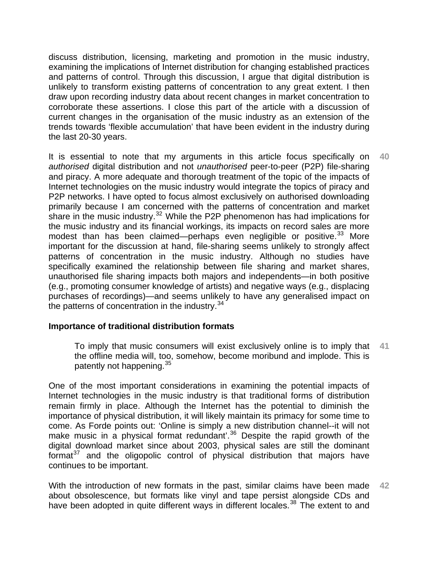discuss distribution, licensing, marketing and promotion in the music industry, examining the implications of Internet distribution for changing established practices and patterns of control. Through this discussion, I argue that digital distribution is unlikely to transform existing patterns of concentration to any great extent. I then draw upon recording industry data about recent changes in market concentration to corroborate these assertions. I close this part of the article with a discussion of current changes in the organisation of the music industry as an extension of the trends towards 'flexible accumulation' that have been evident in the industry during the last 20-30 years.

It is essential to note that my arguments in this article focus specifically on *authorised* digital distribution and not *unauthorised* peer-to-peer (P2P) file-sharing and piracy. A more adequate and thorough treatment of the topic of the impacts of Internet technologies on the music industry would integrate the topics of piracy and P2P networks. I have opted to focus almost exclusively on authorised downloading primarily because I am concerned with the patterns of concentration and market share in the music industry. $32$  While the P2P phenomenon has had implications for the music industry and its financial workings, its impacts on record sales are more modest than has been claimed—perhaps even negligible or positive.<sup>[33](#page-43-1)</sup> More important for the discussion at hand, file-sharing seems unlikely to strongly affect patterns of concentration in the music industry. Although no studies have specifically examined the relationship between file sharing and market shares, unauthorised file sharing impacts both majors and independents—in both positive (e.g., promoting consumer knowledge of artists) and negative ways (e.g., displacing purchases of recordings)—and seems unlikely to have any generalised impact on the patterns of concentration in the industry.<sup>[34](#page-43-1)</sup> **40** 

## **Importance of traditional distribution formats**

To imply that music consumers will exist exclusively online is to imply that the offline media will, too, somehow, become moribund and implode. This is patently not happening.<sup>[35](#page-43-1)</sup> **41** 

One of the most important considerations in examining the potential impacts of Internet technologies in the music industry is that traditional forms of distribution remain firmly in place. Although the Internet has the potential to diminish the importance of physical distribution, it will likely maintain its primacy for some time to come. As Forde points out: 'Online is simply a new distribution channel--it will not make music in a physical format redundant<sup>'.[36](#page-43-1)</sup> Despite the rapid growth of the digital download market since about 2003, physical sales are still the dominant format $37$  and the oligopolic control of physical distribution that majors have continues to be important.

With the introduction of new formats in the past, similar claims have been made about obsolescence, but formats like vinyl and tape persist alongside CDs and have been adopted in quite different ways in different locales.<sup>[38](#page-43-1)</sup> The extent to and **42**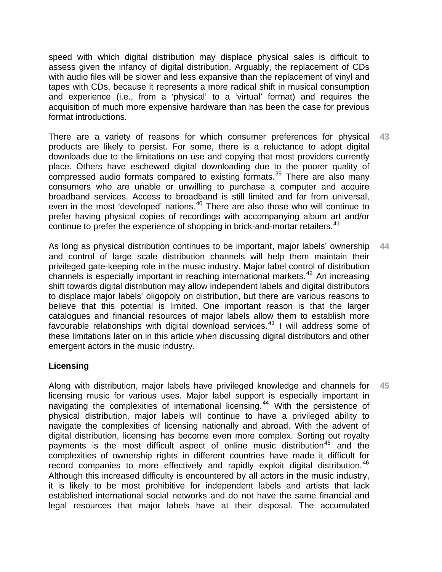speed with which digital distribution may displace physical sales is difficult to assess given the infancy of digital distribution. Arguably, the replacement of CDs with audio files will be slower and less expansive than the replacement of vinyl and tapes with CDs, because it represents a more radical shift in musical consumption and experience (i.e., from a 'physical' to a 'virtual' format) and requires the acquisition of much more expensive hardware than has been the case for previous format introductions.

There are a variety of reasons for which consumer preferences for physical products are likely to persist. For some, there is a reluctance to adopt digital downloads due to the limitations on use and copying that most providers currently place. Others have eschewed digital downloading due to the poorer quality of compressed audio formats compared to existing formats.<sup>[39](#page-43-1)</sup> There are also many consumers who are unable or unwilling to purchase a computer and acquire broadband services. Access to broadband is still limited and far from universal, even in the most 'developed' nations.<sup>[40](#page-43-1)</sup> There are also those who will continue to prefer having physical copies of recordings with accompanying album art and/or continue to prefer the experience of shopping in brick-and-mortar retailers.<sup>[41](#page-43-1)</sup> **43** 

As long as physical distribution continues to be important, major labels' ownership and control of large scale distribution channels will help them maintain their privileged gate-keeping role in the music industry. Major label control of distribution channels is especially important in reaching international markets.<sup>[42](#page-43-1)</sup> An increasing shift towards digital distribution may allow independent labels and digital distributors to displace major labels' oligopoly on distribution, but there are various reasons to believe that this potential is limited. One important reason is that the larger catalogues and financial resources of major labels allow them to establish more favourable relationships with digital download services.<sup>[43](#page-43-1)</sup> I will address some of these limitations later on in this article when discussing digital distributors and other emergent actors in the music industry. **44** 

## **Licensing**

Along with distribution, major labels have privileged knowledge and channels for licensing music for various uses. Major label support is especially important in navigating the complexities of international licensing.<sup>[44](#page-43-1)</sup> With the persistence of physical distribution, major labels will continue to have a privileged ability to navigate the complexities of licensing nationally and abroad. With the advent of digital distribution, licensing has become even more complex. Sorting out royalty payments is the most difficult aspect of online music distribution<sup>[45](#page-43-1)</sup> and the complexities of ownership rights in different countries have made it difficult for record companies to more effectively and rapidly exploit digital distribution.<sup>[46](#page-43-1)</sup> Although this increased difficulty is encountered by all actors in the music industry, it is likely to be most prohibitive for independent labels and artists that lack established international social networks and do not have the same financial and legal resources that major labels have at their disposal. The accumulated **45**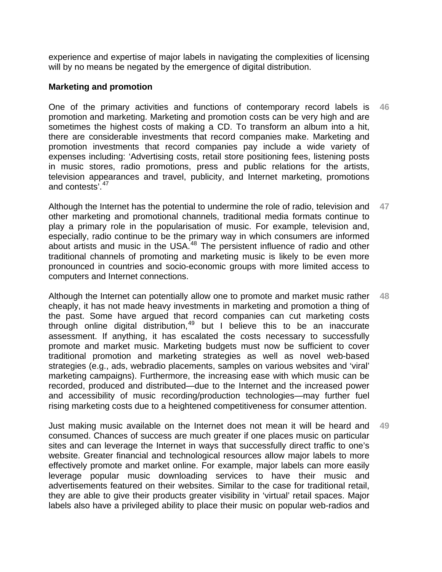experience and expertise of major labels in navigating the complexities of licensing will by no means be negated by the emergence of digital distribution.

### **Marketing and promotion**

One of the primary activities and functions of contemporary record labels is promotion and marketing. Marketing and promotion costs can be very high and are sometimes the highest costs of making a CD. To transform an album into a hit, there are considerable investments that record companies make. Marketing and promotion investments that record companies pay include a wide variety of expenses including: 'Advertising costs, retail store positioning fees, listening posts in music stores, radio promotions, press and public relations for the artists, television appearances and travel, publicity, and Internet marketing, promotions and contests'.<sup>[47](#page-43-1)</sup> **46** 

Although the Internet has the potential to undermine the role of radio, television and other marketing and promotional channels, traditional media formats continue to play a primary role in the popularisation of music. For example, television and, especially, radio continue to be the primary way in which consumers are informed about artists and music in the USA.<sup>[48](#page-43-1)</sup> The persistent influence of radio and other traditional channels of promoting and marketing music is likely to be even more pronounced in countries and socio-economic groups with more limited access to computers and Internet connections. **47** 

Although the Internet can potentially allow one to promote and market music rather cheaply, it has not made heavy investments in marketing and promotion a thing of the past. Some have argued that record companies can cut marketing costs through online digital distribution, $49$  but I believe this to be an inaccurate assessment. If anything, it has escalated the costs necessary to successfully promote and market music. Marketing budgets must now be sufficient to cover traditional promotion and marketing strategies as well as novel web-based strategies (e.g., ads, webradio placements, samples on various websites and 'viral' marketing campaigns). Furthermore, the increasing ease with which music can be recorded, produced and distributed—due to the Internet and the increased power and accessibility of music recording/production technologies—may further fuel rising marketing costs due to a heightened competitiveness for consumer attention. **48** 

Just making music available on the Internet does not mean it will be heard and consumed. Chances of success are much greater if one places music on particular sites and can leverage the Internet in ways that successfully direct traffic to one's website. Greater financial and technological resources allow major labels to more effectively promote and market online. For example, major labels can more easily leverage popular music downloading services to have their music and advertisements featured on their websites. Similar to the case for traditional retail, they are able to give their products greater visibility in 'virtual' retail spaces. Major labels also have a privileged ability to place their music on popular web-radios and **49**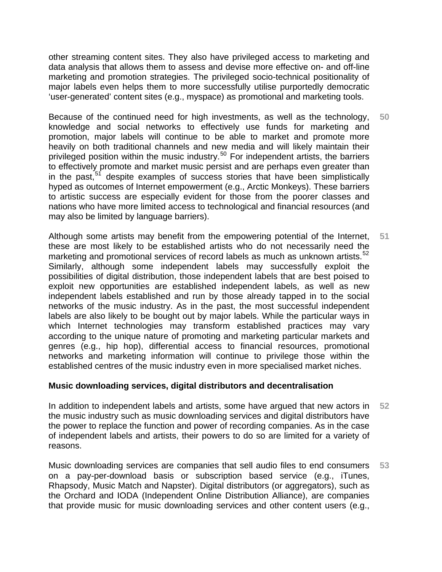other streaming content sites. They also have privileged access to marketing and data analysis that allows them to assess and devise more effective on- and off-line marketing and promotion strategies. The privileged socio-technical positionality of major labels even helps them to more successfully utilise purportedly democratic 'user-generated' content sites (e.g., myspace) as promotional and marketing tools.

Because of the continued need for high investments, as well as the technology, knowledge and social networks to effectively use funds for marketing and promotion, major labels will continue to be able to market and promote more heavily on both traditional channels and new media and will likely maintain their privileged position within the music industry.<sup>[50](#page-43-1)</sup> For independent artists, the barriers to effectively promote and market music persist and are perhaps even greater than in the past,  $51$  despite examples of success stories that have been simplistically hyped as outcomes of Internet empowerment (e.g., Arctic Monkeys). These barriers to artistic success are especially evident for those from the poorer classes and nations who have more limited access to technological and financial resources (and may also be limited by language barriers). **50** 

Although some artists may benefit from the empowering potential of the Internet, these are most likely to be established artists who do not necessarily need the marketing and promotional services of record labels as much as unknown artists.<sup>[52](#page-43-1)</sup> Similarly, although some independent labels may successfully exploit the possibilities of digital distribution, those independent labels that are best poised to exploit new opportunities are established independent labels, as well as new independent labels established and run by those already tapped in to the social networks of the music industry. As in the past, the most successful independent labels are also likely to be bought out by major labels. While the particular ways in which Internet technologies may transform established practices may vary according to the unique nature of promoting and marketing particular markets and genres (e.g., hip hop), differential access to financial resources, promotional networks and marketing information will continue to privilege those within the established centres of the music industry even in more specialised market niches. **51** 

## **Music downloading services, digital distributors and decentralisation**

In addition to independent labels and artists, some have argued that new actors in the music industry such as music downloading services and digital distributors have the power to replace the function and power of recording companies. As in the case of independent labels and artists, their powers to do so are limited for a variety of reasons. **52** 

Music downloading services are companies that sell audio files to end consumers on a pay-per-download basis or subscription based service (e.g., iTunes, Rhapsody, Music Match and Napster). Digital distributors (or aggregators), such as the Orchard and IODA (Independent Online Distribution Alliance), are companies that provide music for music downloading services and other content users (e.g., **53**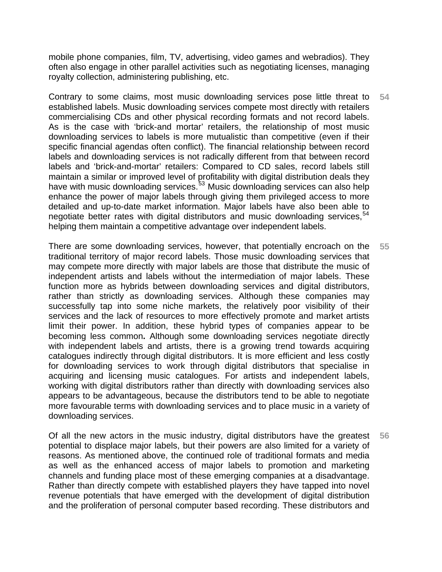mobile phone companies, film, TV, advertising, video games and webradios). They often also engage in other parallel activities such as negotiating licenses, managing royalty collection, administering publishing, etc.

Contrary to some claims, most music downloading services pose little threat to established labels. Music downloading services compete most directly with retailers commercialising CDs and other physical recording formats and not record labels. As is the case with 'brick-and mortar' retailers, the relationship of most music downloading services to labels is more mutualistic than competitive (even if their specific financial agendas often conflict). The financial relationship between record labels and downloading services is not radically different from that between record labels and 'brick-and-mortar' retailers: Compared to CD sales, record labels still maintain a similar or improved level of profitability with digital distribution deals they have with music downloading services.<sup>[53](#page-43-1)</sup> Music downloading services can also help enhance the power of major labels through giving them privileged access to more detailed and up-to-date market information. Major labels have also been able to negotiate better rates with digital distributors and music downloading services,  $54$ helping them maintain a competitive advantage over independent labels. **54** 

There are some downloading services, however, that potentially encroach on the traditional territory of major record labels. Those music downloading services that may compete more directly with major labels are those that distribute the music of independent artists and labels without the intermediation of major labels. These function more as hybrids between downloading services and digital distributors, rather than strictly as downloading services. Although these companies may successfully tap into some niche markets, the relatively poor visibility of their services and the lack of resources to more effectively promote and market artists limit their power. In addition, these hybrid types of companies appear to be becoming less common**.** Although some downloading services negotiate directly with independent labels and artists, there is a growing trend towards acquiring catalogues indirectly through digital distributors. It is more efficient and less costly for downloading services to work through digital distributors that specialise in acquiring and licensing music catalogues. For artists and independent labels, working with digital distributors rather than directly with downloading services also appears to be advantageous, because the distributors tend to be able to negotiate more favourable terms with downloading services and to place music in a variety of downloading services. **55** 

Of all the new actors in the music industry, digital distributors have the greatest potential to displace major labels, but their powers are also limited for a variety of reasons. As mentioned above, the continued role of traditional formats and media as well as the enhanced access of major labels to promotion and marketing channels and funding place most of these emerging companies at a disadvantage. Rather than directly compete with established players they have tapped into novel revenue potentials that have emerged with the development of digital distribution and the proliferation of personal computer based recording. These distributors and **56**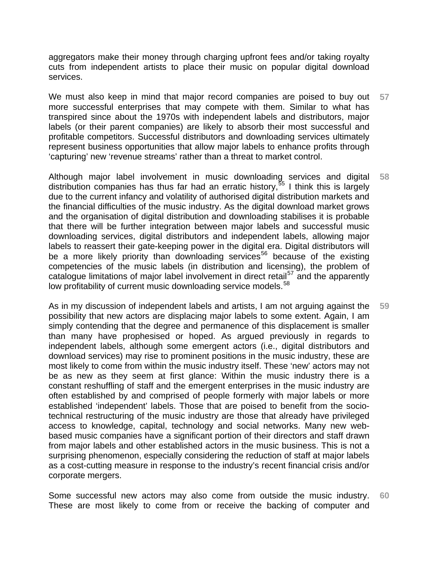aggregators make their money through charging upfront fees and/or taking royalty cuts from independent artists to place their music on popular digital download services.

We must also keep in mind that major record companies are poised to buy out more successful enterprises that may compete with them. Similar to what has transpired since about the 1970s with independent labels and distributors, major labels (or their parent companies) are likely to absorb their most successful and profitable competitors. Successful distributors and downloading services ultimately represent business opportunities that allow major labels to enhance profits through 'capturing' new 'revenue streams' rather than a threat to market control. **57** 

Although major label involvement in music downloading services and digital distribution companies has thus far had an erratic history,<sup>[55](#page-43-1)</sup> I think this is largely due to the current infancy and volatility of authorised digital distribution markets and the financial difficulties of the music industry. As the digital download market grows and the organisation of digital distribution and downloading stabilises it is probable that there will be further integration between major labels and successful music downloading services, digital distributors and independent labels, allowing major labels to reassert their gate-keeping power in the digital era. Digital distributors will be a more likely priority than downloading services<sup>[56](#page-43-1)</sup> because of the existing competencies of the music labels (in distribution and licensing), the problem of catalogue limitations of major label involvement in direct retail<sup>[57](#page-43-1)</sup> and the apparently low profitability of current music downloading service models.<sup>[58](#page-43-1)</sup> **58** 

As in my discussion of independent labels and artists, I am not arguing against the possibility that new actors are displacing major labels to some extent. Again, I am simply contending that the degree and permanence of this displacement is smaller than many have prophesised or hoped. As argued previously in regards to independent labels, although some emergent actors (i.e., digital distributors and download services) may rise to prominent positions in the music industry, these are most likely to come from within the music industry itself. These 'new' actors may not be as new as they seem at first glance: Within the music industry there is a constant reshuffling of staff and the emergent enterprises in the music industry are often established by and comprised of people formerly with major labels or more established 'independent' labels. Those that are poised to benefit from the sociotechnical restructuring of the music industry are those that already have privileged access to knowledge, capital, technology and social networks. Many new webbased music companies have a significant portion of their directors and staff drawn from major labels and other established actors in the music business. This is not a surprising phenomenon, especially considering the reduction of staff at major labels as a cost-cutting measure in response to the industry's recent financial crisis and/or corporate mergers. **59** 

Some successful new actors may also come from outside the music industry. These are most likely to come from or receive the backing of computer and **60**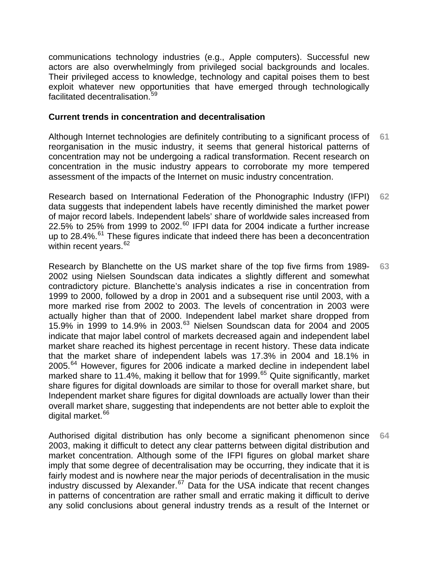communications technology industries (e.g., Apple computers). Successful new actors are also overwhelmingly from privileged social backgrounds and locales. Their privileged access to knowledge, technology and capital poises them to best exploit whatever new opportunities that have emerged through technologically facilitated decentralisation.<sup>[59](#page-43-1)</sup>

#### **Current trends in concentration and decentralisation**

Although Internet technologies are definitely contributing to a significant process of reorganisation in the music industry, it seems that general historical patterns of concentration may not be undergoing a radical transformation. Recent research on concentration in the music industry appears to corroborate my more tempered assessment of the impacts of the Internet on music industry concentration. **61** 

Research based on International Federation of the Phonographic Industry (IFPI) data suggests that independent labels have recently diminished the market power of major record labels. Independent labels' share of worldwide sales increased from 22.5% to 25% from 1999 to 2002.<sup>[60](#page-43-1)</sup> IFPI data for 2004 indicate a further increase up to  $28.4\%$ .<sup>[61](#page-43-1)</sup> These figures indicate that indeed there has been a deconcentration within recent vears.<sup>[62](#page-43-1)</sup> **62** 

Research by Blanchette on the US market share of the top five firms from 1989- 2002 using Nielsen Soundscan data indicates a slightly different and somewhat contradictory picture. Blanchette's analysis indicates a rise in concentration from 1999 to 2000, followed by a drop in 2001 and a subsequent rise until 2003, with a more marked rise from 2002 to 2003. The levels of concentration in 2003 were actually higher than that of 2000. Independent label market share dropped from 15.9% in 1999 to 14.9% in 2003. $^{63}$  $^{63}$  $^{63}$  Nielsen Soundscan data for 2004 and 2005 indicate that major label control of markets decreased again and independent label market share reached its highest percentage in recent history. These data indicate that the market share of independent labels was 17.3% in 2004 and 18.1% in 2005.<sup>[64](#page-43-1)</sup> However, figures for 2006 indicate a marked decline in independent label marked share to 11.4%, making it bellow that for 1999.<sup>[65](#page-43-1)</sup> Quite significantly, market share figures for digital downloads are similar to those for overall market share, but Independent market share figures for digital downloads are actually lower than their overall market share, suggesting that independents are not better able to exploit the digital market.<sup>[66](#page-43-1)</sup> **63** 

Authorised digital distribution has only become a significant phenomenon since 2003, making it difficult to detect any clear patterns between digital distribution and market concentration. Although some of the IFPI figures on global market share imply that some degree of decentralisation may be occurring, they indicate that it is fairly modest and is nowhere near the major periods of decentralisation in the music industry discussed by Alexander.<sup>[67](#page-43-1)</sup> Data for the USA indicate that recent changes in patterns of concentration are rather small and erratic making it difficult to derive any solid conclusions about general industry trends as a result of the Internet or **64**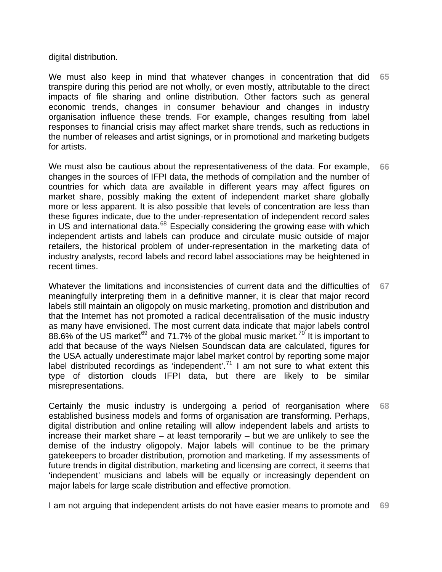digital distribution.

We must also keep in mind that whatever changes in concentration that did transpire during this period are not wholly, or even mostly, attributable to the direct impacts of file sharing and online distribution. Other factors such as general economic trends, changes in consumer behaviour and changes in industry organisation influence these trends. For example, changes resulting from label responses to financial crisis may affect market share trends, such as reductions in the number of releases and artist signings, or in promotional and marketing budgets for artists. **65** 

We must also be cautious about the representativeness of the data. For example, changes in the sources of IFPI data, the methods of compilation and the number of countries for which data are available in different years may affect figures on market share, possibly making the extent of independent market share globally more or less apparent. It is also possible that levels of concentration are less than these figures indicate, due to the under-representation of independent record sales in US and international data.<sup>[68](#page-43-1)</sup> Especially considering the growing ease with which independent artists and labels can produce and circulate music outside of major retailers, the historical problem of under-representation in the marketing data of industry analysts, record labels and record label associations may be heightened in recent times. **66** 

Whatever the limitations and inconsistencies of current data and the difficulties of meaningfully interpreting them in a definitive manner, it is clear that major record labels still maintain an oligopoly on music marketing, promotion and distribution and that the Internet has not promoted a radical decentralisation of the music industry as many have envisioned. The most current data indicate that major labels control 88.6% of the US market<sup>[69](#page-43-1)</sup> and 71.7% of the global music market.<sup>[70](#page-43-1)'</sup> It is important to add that because of the ways Nielsen Soundscan data are calculated, figures for the USA actually underestimate major label market control by reporting some major label distributed recordings as 'independent'.<sup>[71](#page-43-1)</sup> I am not sure to what extent this type of distortion clouds IFPI data, but there are likely to be similar misrepresentations. **67** 

Certainly the music industry is undergoing a period of reorganisation where established business models and forms of organisation are transforming. Perhaps, digital distribution and online retailing will allow independent labels and artists to increase their market share – at least temporarily – but we are unlikely to see the demise of the industry oligopoly. Major labels will continue to be the primary gatekeepers to broader distribution, promotion and marketing. If my assessments of future trends in digital distribution, marketing and licensing are correct, it seems that 'independent' musicians and labels will be equally or increasingly dependent on major labels for large scale distribution and effective promotion. **68** 

I am not arguing that independent artists do not have easier means to promote and **69**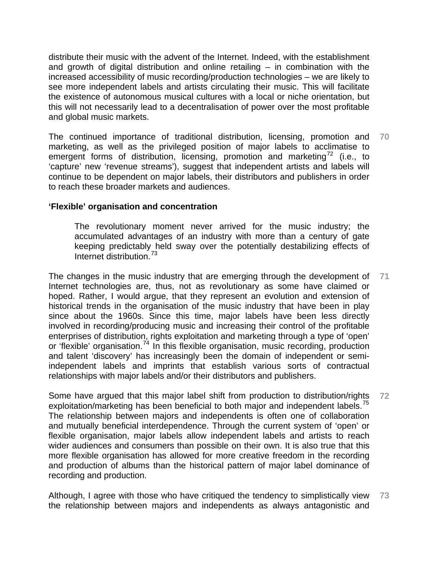distribute their music with the advent of the Internet. Indeed, with the establishment and growth of digital distribution and online retailing – in combination with the increased accessibility of music recording/production technologies – we are likely to see more independent labels and artists circulating their music. This will facilitate the existence of autonomous musical cultures with a local or niche orientation, but this will not necessarily lead to a decentralisation of power over the most profitable and global music markets.

The continued importance of traditional distribution, licensing, promotion and marketing, as well as the privileged position of major labels to acclimatise to emergent forms of distribution, licensing, promotion and marketing<sup>[72](#page-43-1)</sup> (i.e., to 'capture' new 'revenue streams'), suggest that independent artists and labels will continue to be dependent on major labels, their distributors and publishers in order to reach these broader markets and audiences. **70** 

#### **'Flexible' organisation and concentration**

The revolutionary moment never arrived for the music industry; the accumulated advantages of an industry with more than a century of gate keeping predictably held sway over the potentially destabilizing effects of Internet distribution.<sup>[73](#page-43-1)</sup>

The changes in the music industry that are emerging through the development of Internet technologies are, thus, not as revolutionary as some have claimed or hoped. Rather, I would argue, that they represent an evolution and extension of historical trends in the organisation of the music industry that have been in play since about the 1960s. Since this time, major labels have been less directly involved in recording/producing music and increasing their control of the profitable enterprises of distribution, rights exploitation and marketing through a type of 'open' or 'flexible' organisation.<sup>[74](#page-43-1)</sup> In this flexible organisation, music recording, production and talent 'discovery' has increasingly been the domain of independent or semiindependent labels and imprints that establish various sorts of contractual relationships with major labels and/or their distributors and publishers. **71** 

Some have argued that this major label shift from production to distribution/rights exploitation/marketing has been beneficial to both major and independent labels.<sup>[75](#page-43-1)</sup> The relationship between majors and independents is often one of collaboration and mutually beneficial interdependence. Through the current system of 'open' or flexible organisation, major labels allow independent labels and artists to reach wider audiences and consumers than possible on their own. It is also true that this more flexible organisation has allowed for more creative freedom in the recording and production of albums than the historical pattern of major label dominance of recording and production. **72** 

Although, I agree with those who have critiqued the tendency to simplistically view the relationship between majors and independents as always antagonistic and **73**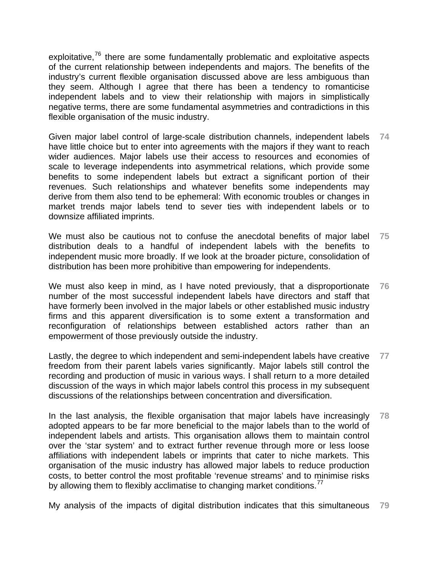exploitative, $76$  there are some fundamentally problematic and exploitative aspects of the current relationship between independents and majors. The benefits of the industry's current flexible organisation discussed above are less ambiguous than they seem. Although I agree that there has been a tendency to romanticise independent labels and to view their relationship with majors in simplistically negative terms, there are some fundamental asymmetries and contradictions in this flexible organisation of the music industry.

Given major label control of large-scale distribution channels, independent labels have little choice but to enter into agreements with the majors if they want to reach wider audiences. Major labels use their access to resources and economies of scale to leverage independents into asymmetrical relations, which provide some benefits to some independent labels but extract a significant portion of their revenues. Such relationships and whatever benefits some independents may derive from them also tend to be ephemeral: With economic troubles or changes in market trends major labels tend to sever ties with independent labels or to downsize affiliated imprints. **74** 

We must also be cautious not to confuse the anecdotal benefits of major label distribution deals to a handful of independent labels with the benefits to independent music more broadly. If we look at the broader picture, consolidation of distribution has been more prohibitive than empowering for independents. **75** 

We must also keep in mind, as I have noted previously, that a disproportionate number of the most successful independent labels have directors and staff that have formerly been involved in the major labels or other established music industry firms and this apparent diversification is to some extent a transformation and reconfiguration of relationships between established actors rather than an empowerment of those previously outside the industry. **76** 

Lastly, the degree to which independent and semi-independent labels have creative freedom from their parent labels varies significantly. Major labels still control the recording and production of music in various ways. I shall return to a more detailed discussion of the ways in which major labels control this process in my subsequent discussions of the relationships between concentration and diversification. **77** 

In the last analysis, the flexible organisation that major labels have increasingly adopted appears to be far more beneficial to the major labels than to the world of independent labels and artists. This organisation allows them to maintain control over the 'star system' and to extract further revenue through more or less loose affiliations with independent labels or imprints that cater to niche markets. This organisation of the music industry has allowed major labels to reduce production costs, to better control the most profitable 'revenue streams' and to minimise risks by allowing them to flexibly acclimatise to changing market conditions.<sup>[77](#page-43-1)</sup> **78** 

My analysis of the impacts of digital distribution indicates that this simultaneous **79**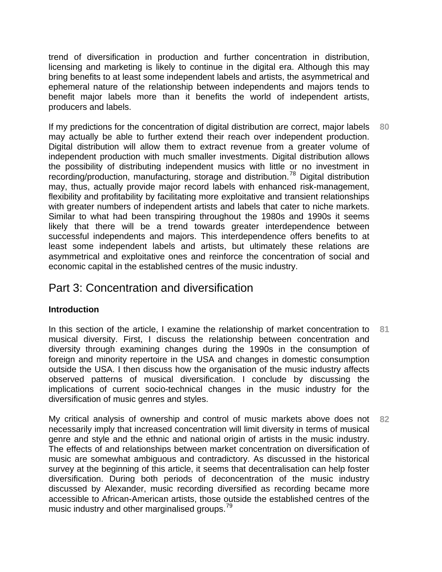trend of diversification in production and further concentration in distribution, licensing and marketing is likely to continue in the digital era. Although this may bring benefits to at least some independent labels and artists, the asymmetrical and ephemeral nature of the relationship between independents and majors tends to benefit major labels more than it benefits the world of independent artists, producers and labels.

If my predictions for the concentration of digital distribution are correct, major labels may actually be able to further extend their reach over independent production. Digital distribution will allow them to extract revenue from a greater volume of independent production with much smaller investments. Digital distribution allows the possibility of distributing independent musics with little or no investment in recording/production, manufacturing, storage and distribution.[78](#page-43-1) Digital distribution may, thus, actually provide major record labels with enhanced risk-management, flexibility and profitability by facilitating more exploitative and transient relationships with greater numbers of independent artists and labels that cater to niche markets. Similar to what had been transpiring throughout the 1980s and 1990s it seems likely that there will be a trend towards greater interdependence between successful independents and majors. This interdependence offers benefits to at least some independent labels and artists, but ultimately these relations are asymmetrical and exploitative ones and reinforce the concentration of social and economic capital in the established centres of the music industry. **80** 

# Part 3: Concentration and diversification

## **Introduction**

In this section of the article, I examine the relationship of market concentration to musical diversity. First, I discuss the relationship between concentration and diversity through examining changes during the 1990s in the consumption of foreign and minority repertoire in the USA and changes in domestic consumption outside the USA. I then discuss how the organisation of the music industry affects observed patterns of musical diversification. I conclude by discussing the implications of current socio-technical changes in the music industry for the diversification of music genres and styles. **81** 

My critical analysis of ownership and control of music markets above does not necessarily imply that increased concentration will limit diversity in terms of musical genre and style and the ethnic and national origin of artists in the music industry. The effects of and relationships between market concentration on diversification of music are somewhat ambiguous and contradictory. As discussed in the historical survey at the beginning of this article, it seems that decentralisation can help foster diversification. During both periods of deconcentration of the music industry discussed by Alexander, music recording diversified as recording became more accessible to African-American artists, those outside the established centres of the music industry and other marginalised groups.<sup>[79](#page-43-1)</sup> **82**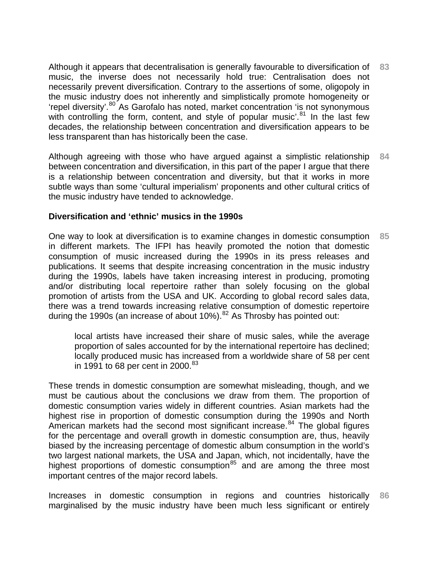Although it appears that decentralisation is generally favourable to diversification of music, the inverse does not necessarily hold true: Centralisation does not necessarily prevent diversification. Contrary to the assertions of some, oligopoly in the music industry does not inherently and simplistically promote homogeneity or 'repel diversity'.<sup>[80](#page-43-1)</sup> As Garofalo has noted, market concentration 'is not synonymous with controlling the form, content, and style of popular music'. $81$  In the last few decades, the relationship between concentration and diversification appears to be less transparent than has historically been the case. **83** 

Although agreeing with those who have argued against a simplistic relationship between concentration and diversification, in this part of the paper I argue that there is a relationship between concentration and diversity, but that it works in more subtle ways than some 'cultural imperialism' proponents and other cultural critics of the music industry have tended to acknowledge. **84** 

### **Diversification and 'ethnic' musics in the 1990s**

One way to look at diversification is to examine changes in domestic consumption in different markets. The IFPI has heavily promoted the notion that domestic consumption of music increased during the 1990s in its press releases and publications. It seems that despite increasing concentration in the music industry during the 1990s, labels have taken increasing interest in producing, promoting and/or distributing local repertoire rather than solely focusing on the global promotion of artists from the USA and UK. According to global record sales data, there was a trend towards increasing relative consumption of domestic repertoire during the 1990s (an increase of about 10%).<sup>[82](#page-43-1)</sup> As Throsby has pointed out: **85** 

local artists have increased their share of music sales, while the average proportion of sales accounted for by the international repertoire has declined; locally produced music has increased from a worldwide share of 58 per cent in 1991 to 68 per cent in 2000.<sup>[83](#page-43-1)</sup>

These trends in domestic consumption are somewhat misleading, though, and we must be cautious about the conclusions we draw from them. The proportion of domestic consumption varies widely in different countries. Asian markets had the highest rise in proportion of domestic consumption during the 1990s and North American markets had the second most significant increase.<sup>[84](#page-43-1)</sup> The global figures for the percentage and overall growth in domestic consumption are, thus, heavily biased by the increasing percentage of domestic album consumption in the world's two largest national markets, the USA and Japan, which, not incidentally, have the highest proportions of domestic consumption<sup>[85](#page-43-1)</sup> and are among the three most important centres of the major record labels.

Increases in domestic consumption in regions and countries historically marginalised by the music industry have been much less significant or entirely **86**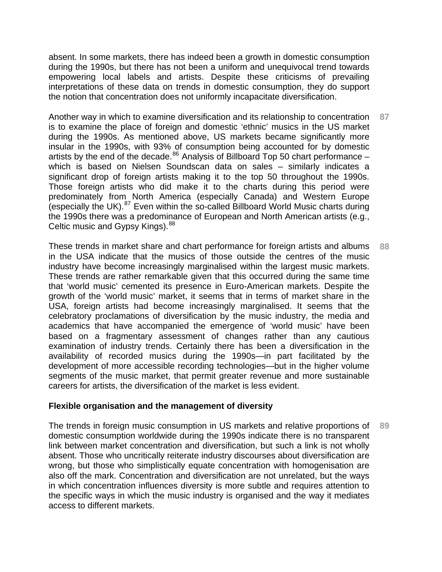absent. In some markets, there has indeed been a growth in domestic consumption during the 1990s, but there has not been a uniform and unequivocal trend towards empowering local labels and artists. Despite these criticisms of prevailing interpretations of these data on trends in domestic consumption, they do support the notion that concentration does not uniformly incapacitate diversification.

Another way in which to examine diversification and its relationship to concentration is to examine the place of foreign and domestic 'ethnic' musics in the US market during the 1990s. As mentioned above, US markets became significantly more insular in the 1990s, with 93% of consumption being accounted for by domestic artists by the end of the decade.<sup>[86](#page-43-1)</sup> Analysis of Billboard Top 50 chart performance – which is based on Nielsen Soundscan data on sales – similarly indicates a significant drop of foreign artists making it to the top 50 throughout the 1990s. Those foreign artists who did make it to the charts during this period were predominately from North America (especially Canada) and Western Europe (especially the UK).<sup>[87](#page-43-1)</sup> Even within the so-called Billboard World Music charts during the 1990s there was a predominance of European and North American artists (e.g., Celtic music and Gypsy Kings).<sup>[88](#page-43-1)</sup> **87** 

These trends in market share and chart performance for foreign artists and albums in the USA indicate that the musics of those outside the centres of the music industry have become increasingly marginalised within the largest music markets. These trends are rather remarkable given that this occurred during the same time that 'world music' cemented its presence in Euro-American markets. Despite the growth of the 'world music' market, it seems that in terms of market share in the USA, foreign artists had become increasingly marginalised. It seems that the celebratory proclamations of diversification by the music industry, the media and academics that have accompanied the emergence of 'world music' have been based on a fragmentary assessment of changes rather than any cautious examination of industry trends. Certainly there has been a diversification in the availability of recorded musics during the 1990s—in part facilitated by the development of more accessible recording technologies—but in the higher volume segments of the music market, that permit greater revenue and more sustainable careers for artists, the diversification of the market is less evident. **88** 

#### **Flexible organisation and the management of diversity**

The trends in foreign music consumption in US markets and relative proportions of domestic consumption worldwide during the 1990s indicate there is no transparent link between market concentration and diversification, but such a link is not wholly absent. Those who uncritically reiterate industry discourses about diversification are wrong, but those who simplistically equate concentration with homogenisation are also off the mark. Concentration and diversification are not unrelated, but the ways in which concentration influences diversity is more subtle and requires attention to the specific ways in which the music industry is organised and the way it mediates access to different markets. **89**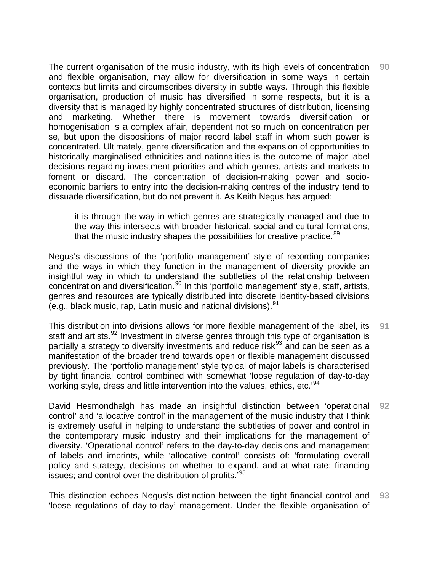The current organisation of the music industry, with its high levels of concentration and flexible organisation, may allow for diversification in some ways in certain contexts but limits and circumscribes diversity in subtle ways. Through this flexible organisation, production of music has diversified in some respects, but it is a diversity that is managed by highly concentrated structures of distribution, licensing and marketing. Whether there is movement towards diversification or homogenisation is a complex affair, dependent not so much on concentration per se, but upon the dispositions of major record label staff in whom such power is concentrated. Ultimately, genre diversification and the expansion of opportunities to historically marginalised ethnicities and nationalities is the outcome of major label decisions regarding investment priorities and which genres, artists and markets to foment or discard. The concentration of decision-making power and socioeconomic barriers to entry into the decision-making centres of the industry tend to dissuade diversification, but do not prevent it. As Keith Negus has argued: **90** 

it is through the way in which genres are strategically managed and due to the way this intersects with broader historical, social and cultural formations, that the music industry shapes the possibilities for creative practice.<sup>[89](#page-43-1)</sup>

Negus's discussions of the 'portfolio management' style of recording companies and the ways in which they function in the management of diversity provide an insightful way in which to understand the subtleties of the relationship between concentration and diversification.<sup>[90](#page-43-1)</sup> In this 'portfolio management' style, staff, artists, genres and resources are typically distributed into discrete identity-based divisions (e.g., black music, rap, Latin music and national divisions).  $91$ 

This distribution into divisions allows for more flexible management of the label, its staff and artists.<sup>[92](#page-43-1)</sup> Investment in diverse genres through this type of organisation is partially a strategy to diversify investments and reduce risk<sup>[93](#page-43-1)</sup> and can be seen as a manifestation of the broader trend towards open or flexible management discussed previously. The 'portfolio management' style typical of major labels is characterised by tight financial control combined with somewhat 'loose regulation of day-to-day working style, dress and little intervention into the values, ethics, etc.'<sup>[94](#page-43-1)</sup> **91** 

David Hesmondhalgh has made an insightful distinction between 'operational control' and 'allocative control' in the management of the music industry that I think is extremely useful in helping to understand the subtleties of power and control in the contemporary music industry and their implications for the management of diversity. 'Operational control' refers to the day-to-day decisions and management of labels and imprints, while 'allocative control' consists of: 'formulating overall policy and strategy, decisions on whether to expand, and at what rate; financing issues; and control over the distribution of profits.<sup>1[95](#page-43-1)</sup> **92** 

This distinction echoes Negus's distinction between the tight financial control and 'loose regulations of day-to-day' management. Under the flexible organisation of **93**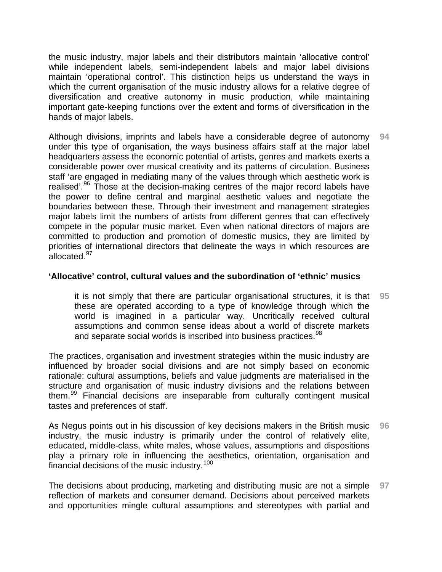the music industry, major labels and their distributors maintain 'allocative control' while independent labels, semi-independent labels and major label divisions maintain 'operational control'. This distinction helps us understand the ways in which the current organisation of the music industry allows for a relative degree of diversification and creative autonomy in music production, while maintaining important gate-keeping functions over the extent and forms of diversification in the hands of major labels.

Although divisions, imprints and labels have a considerable degree of autonomy under this type of organisation, the ways business affairs staff at the major label headquarters assess the economic potential of artists, genres and markets exerts a considerable power over musical creativity and its patterns of circulation. Business staff 'are engaged in mediating many of the values through which aesthetic work is realised'.<sup>[96](#page-43-1)</sup> Those at the decision-making centres of the major record labels have the power to define central and marginal aesthetic values and negotiate the boundaries between these. Through their investment and management strategies major labels limit the numbers of artists from different genres that can effectively compete in the popular music market. Even when national directors of majors are committed to production and promotion of domestic musics, they are limited by priorities of international directors that delineate the ways in which resources are allocated.<sup>[97](#page-43-1)</sup> **94** 

#### **'Allocative' control, cultural values and the subordination of 'ethnic' musics**

it is not simply that there are particular organisational structures, it is that these are operated according to a type of knowledge through which the world is imagined in a particular way. Uncritically received cultural assumptions and common sense ideas about a world of discrete markets and separate social worlds is inscribed into business practices.<sup>[98](#page-43-1)</sup> **95** 

The practices, organisation and investment strategies within the music industry are influenced by broader social divisions and are not simply based on economic rationale: cultural assumptions, beliefs and value judgments are materialised in the structure and organisation of music industry divisions and the relations between them.<sup>[99](#page-43-1)</sup> Financial decisions are inseparable from culturally contingent musical tastes and preferences of staff.

As Negus points out in his discussion of key decisions makers in the British music industry, the music industry is primarily under the control of relatively elite, educated, middle-class, white males, whose values, assumptions and dispositions play a primary role in influencing the aesthetics, orientation, organisation and financial decisions of the music industry.[100](#page-43-1) **96** 

The decisions about producing, marketing and distributing music are not a simple reflection of markets and consumer demand. Decisions about perceived markets and opportunities mingle cultural assumptions and stereotypes with partial and **97**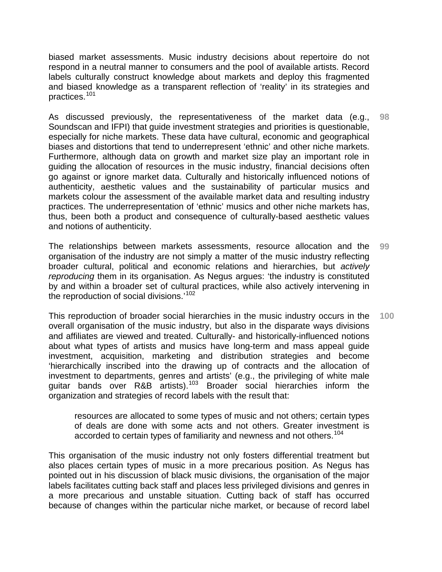biased market assessments. Music industry decisions about repertoire do not respond in a neutral manner to consumers and the pool of available artists. Record labels culturally construct knowledge about markets and deploy this fragmented and biased knowledge as a transparent reflection of 'reality' in its strategies and practices.[101](#page-43-1)

As discussed previously, the representativeness of the market data (e.g., Soundscan and IFPI) that guide investment strategies and priorities is questionable, especially for niche markets. These data have cultural, economic and geographical biases and distortions that tend to underrepresent 'ethnic' and other niche markets. Furthermore, although data on growth and market size play an important role in guiding the allocation of resources in the music industry, financial decisions often go against or ignore market data. Culturally and historically influenced notions of authenticity, aesthetic values and the sustainability of particular musics and markets colour the assessment of the available market data and resulting industry practices. The underrepresentation of 'ethnic' musics and other niche markets has, thus, been both a product and consequence of culturally-based aesthetic values and notions of authenticity. **98** 

The relationships between markets assessments, resource allocation and the organisation of the industry are not simply a matter of the music industry reflecting broader cultural, political and economic relations and hierarchies, but *actively reproducing* them in its organisation. As Negus argues: 'the industry is constituted by and within a broader set of cultural practices, while also actively intervening in the reproduction of social divisions.'<sup>[102](#page-43-1)</sup> **99** 

This reproduction of broader social hierarchies in the music industry occurs in the overall organisation of the music industry, but also in the disparate ways divisions and affiliates are viewed and treated. Culturally- and historically-influenced notions about what types of artists and musics have long-term and mass appeal guide investment, acquisition, marketing and distribution strategies and become 'hierarchically inscribed into the drawing up of contracts and the allocation of investment to departments, genres and artists' (e.g., the privileging of white male guitar bands over R&B artists).[103](#page-43-1) Broader social hierarchies inform the organization and strategies of record labels with the result that: **100** 

resources are allocated to some types of music and not others; certain types of deals are done with some acts and not others. Greater investment is accorded to certain types of familiarity and newness and not others.<sup>[104](#page-43-1)</sup>

This organisation of the music industry not only fosters differential treatment but also places certain types of music in a more precarious position. As Negus has pointed out in his discussion of black music divisions, the organisation of the major labels facilitates cutting back staff and places less privileged divisions and genres in a more precarious and unstable situation. Cutting back of staff has occurred because of changes within the particular niche market, or because of record label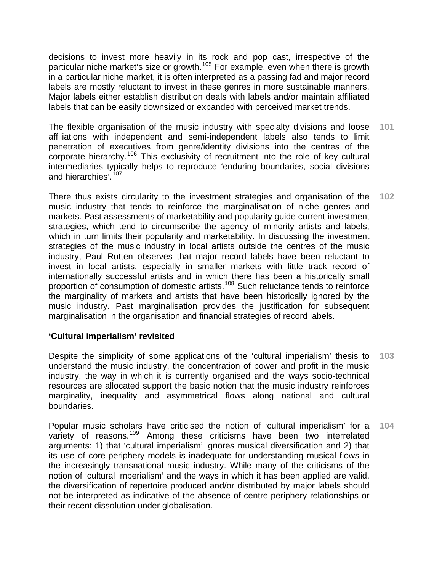decisions to invest more heavily in its rock and pop cast, irrespective of the particular niche market's size or growth.<sup>[105](#page-43-1)</sup> For example, even when there is growth in a particular niche market, it is often interpreted as a passing fad and major record labels are mostly reluctant to invest in these genres in more sustainable manners. Major labels either establish distribution deals with labels and/or maintain affiliated labels that can be easily downsized or expanded with perceived market trends.

The flexible organisation of the music industry with specialty divisions and loose affiliations with independent and semi-independent labels also tends to limit penetration of executives from genre/identity divisions into the centres of the corporate hierarchy.<sup>[106](#page-43-1)</sup> This exclusivity of recruitment into the role of key cultural intermediaries typically helps to reproduce 'enduring boundaries, social divisions and hierarchies'.<sup>[107](#page-43-1)</sup> **101** 

There thus exists circularity to the investment strategies and organisation of the music industry that tends to reinforce the marginalisation of niche genres and markets. Past assessments of marketability and popularity guide current investment strategies, which tend to circumscribe the agency of minority artists and labels, which in turn limits their popularity and marketability. In discussing the investment strategies of the music industry in local artists outside the centres of the music industry, Paul Rutten observes that major record labels have been reluctant to invest in local artists, especially in smaller markets with little track record of internationally successful artists and in which there has been a historically small proportion of consumption of domestic artists.<sup>[108](#page-43-1)</sup> Such reluctance tends to reinforce the marginality of markets and artists that have been historically ignored by the music industry. Past marginalisation provides the justification for subsequent marginalisation in the organisation and financial strategies of record labels. **102** 

## **'Cultural imperialism' revisited**

Despite the simplicity of some applications of the 'cultural imperialism' thesis to understand the music industry, the concentration of power and profit in the music industry, the way in which it is currently organised and the ways socio-technical resources are allocated support the basic notion that the music industry reinforces marginality, inequality and asymmetrical flows along national and cultural boundaries. **103** 

Popular music scholars have criticised the notion of 'cultural imperialism' for a variety of reasons.<sup>[109](#page-43-1)</sup> Among these criticisms have been two interrelated arguments: 1) that 'cultural imperialism' ignores musical diversification and 2) that its use of core-periphery models is inadequate for understanding musical flows in the increasingly transnational music industry. While many of the criticisms of the notion of 'cultural imperialism' and the ways in which it has been applied are valid, the diversification of repertoire produced and/or distributed by major labels should not be interpreted as indicative of the absence of centre-periphery relationships or their recent dissolution under globalisation. **104**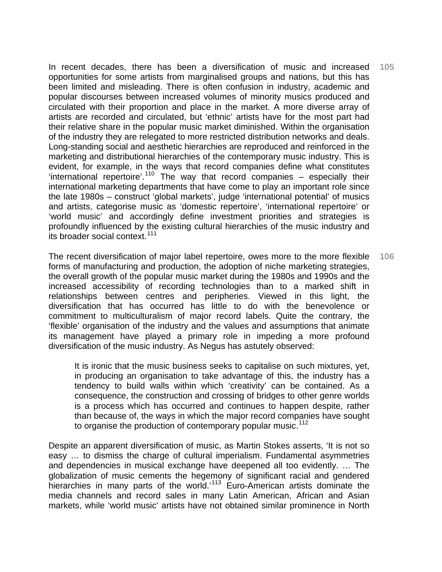In recent decades, there has been a diversification of music and increased opportunities for some artists from marginalised groups and nations, but this has been limited and misleading. There is often confusion in industry, academic and popular discourses between increased volumes of minority musics produced and circulated with their proportion and place in the market. A more diverse array of artists are recorded and circulated, but 'ethnic' artists have for the most part had their relative share in the popular music market diminished. Within the organisation of the industry they are relegated to more restricted distribution networks and deals. Long-standing social and aesthetic hierarchies are reproduced and reinforced in the marketing and distributional hierarchies of the contemporary music industry. This is evident, for example, in the ways that record companies define what constitutes 'international repertoire'.<sup>[110](#page-43-1)</sup> The way that record companies – especially their international marketing departments that have come to play an important role since the late 1980s – construct 'global markets', judge 'international potential' of musics and artists, categorise music as 'domestic repertoire', 'international repertoire' or 'world music' and accordingly define investment priorities and strategies is profoundly influenced by the existing cultural hierarchies of the music industry and its broader social context.<sup>[111](#page-43-1)</sup> **105** 

The recent diversification of major label repertoire, owes more to the more flexible forms of manufacturing and production, the adoption of niche marketing strategies, the overall growth of the popular music market during the 1980s and 1990s and the increased accessibility of recording technologies than to a marked shift in relationships between centres and peripheries. Viewed in this light, the diversification that has occurred has little to do with the benevolence or commitment to multiculturalism of major record labels. Quite the contrary, the 'flexible' organisation of the industry and the values and assumptions that animate its management have played a primary role in impeding a more profound diversification of the music industry. As Negus has astutely observed: **106** 

It is ironic that the music business seeks to capitalise on such mixtures, yet, in producing an organisation to take advantage of this, the industry has a tendency to build walls within which 'creativity' can be contained. As a consequence, the construction and crossing of bridges to other genre worlds is a process which has occurred and continues to happen despite, rather than because of, the ways in which the major record companies have sought to organise the production of contemporary popular music.<sup>[112](#page-43-1)</sup>

Despite an apparent diversification of music, as Martin Stokes asserts, 'It is not so easy … to dismiss the charge of cultural imperialism. Fundamental asymmetries and dependencies in musical exchange have deepened all too evidently. … The globalization of music cements the hegemony of significant racial and gendered hierarchies in many parts of the world.<sup>[113](#page-43-1)</sup> Euro-American artists dominate the media channels and record sales in many Latin American, African and Asian markets, while 'world music' artists have not obtained similar prominence in North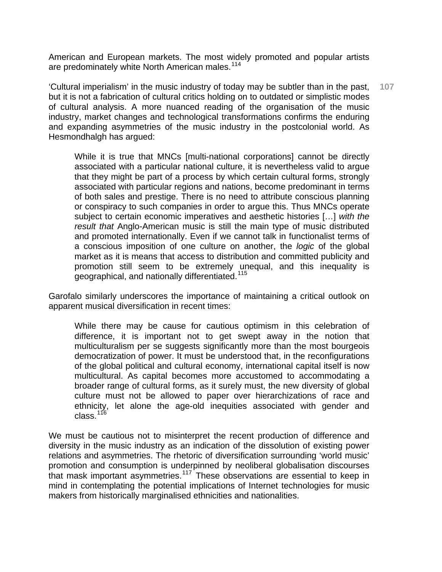American and European markets. The most widely promoted and popular artists are predominately white North American males.<sup>[114](#page-43-1)</sup>

'Cultural imperialism' in the music industry of today may be subtler than in the past, but it is not a fabrication of cultural critics holding on to outdated or simplistic modes of cultural analysis. A more nuanced reading of the organisation of the music industry, market changes and technological transformations confirms the enduring and expanding asymmetries of the music industry in the postcolonial world. As Hesmondhalgh has argued: **107** 

While it is true that MNCs [multi-national corporations] cannot be directly associated with a particular national culture, it is nevertheless valid to argue that they might be part of a process by which certain cultural forms, strongly associated with particular regions and nations, become predominant in terms of both sales and prestige. There is no need to attribute conscious planning or conspiracy to such companies in order to argue this. Thus MNCs operate subject to certain economic imperatives and aesthetic histories […] *with the result that* Anglo-American music is still the main type of music distributed and promoted internationally. Even if we cannot talk in functionalist terms of a conscious imposition of one culture on another, the *logic* of the global market as it is means that access to distribution and committed publicity and promotion still seem to be extremely unequal, and this inequality is geographical, and nationally differentiated.<sup>[115](#page-43-1)</sup>

Garofalo similarly underscores the importance of maintaining a critical outlook on apparent musical diversification in recent times:

While there may be cause for cautious optimism in this celebration of difference, it is important not to get swept away in the notion that multiculturalism per se suggests significantly more than the most bourgeois democratization of power. It must be understood that, in the reconfigurations of the global political and cultural economy, international capital itself is now multicultural. As capital becomes more accustomed to accommodating a broader range of cultural forms, as it surely must, the new diversity of global culture must not be allowed to paper over hierarchizations of race and ethnicity, let alone the age-old inequities associated with gender and  $class.<sup>116</sup>$  $class.<sup>116</sup>$  $class.<sup>116</sup>$ 

We must be cautious not to misinterpret the recent production of difference and diversity in the music industry as an indication of the dissolution of existing power relations and asymmetries. The rhetoric of diversification surrounding 'world music' promotion and consumption is underpinned by neoliberal globalisation discourses that mask important asymmetries.<sup>[117](#page-43-1)</sup> These observations are essential to keep in mind in contemplating the potential implications of Internet technologies for music makers from historically marginalised ethnicities and nationalities.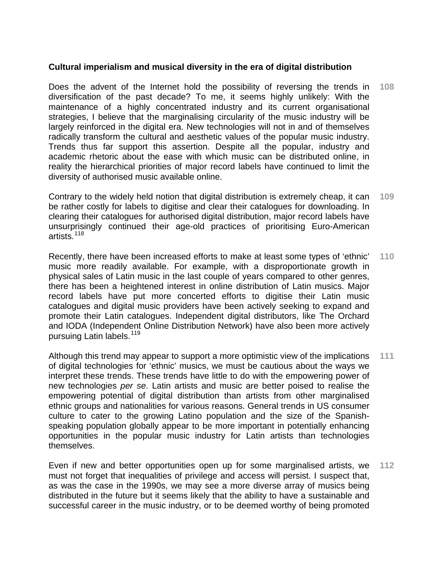### **Cultural imperialism and musical diversity in the era of digital distribution**

Does the advent of the Internet hold the possibility of reversing the trends in diversification of the past decade? To me, it seems highly unlikely: With the maintenance of a highly concentrated industry and its current organisational strategies, I believe that the marginalising circularity of the music industry will be largely reinforced in the digital era. New technologies will not in and of themselves radically transform the cultural and aesthetic values of the popular music industry. Trends thus far support this assertion. Despite all the popular, industry and academic rhetoric about the ease with which music can be distributed online, in reality the hierarchical priorities of major record labels have continued to limit the diversity of authorised music available online. **108** 

Contrary to the widely held notion that digital distribution is extremely cheap, it can be rather costly for labels to digitise and clear their catalogues for downloading. In clearing their catalogues for authorised digital distribution, major record labels have unsurprisingly continued their age-old practices of prioritising Euro-American artists.[118](#page-43-1) **109** 

Recently, there have been increased efforts to make at least some types of 'ethnic' music more readily available. For example, with a disproportionate growth in physical sales of Latin music in the last couple of years compared to other genres, there has been a heightened interest in online distribution of Latin musics. Major record labels have put more concerted efforts to digitise their Latin music catalogues and digital music providers have been actively seeking to expand and promote their Latin catalogues. Independent digital distributors, like The Orchard and IODA (Independent Online Distribution Network) have also been more actively pursuing Latin labels.<sup>[119](#page-43-1)</sup> **110** 

Although this trend may appear to support a more optimistic view of the implications of digital technologies for 'ethnic' musics, we must be cautious about the ways we interpret these trends. These trends have little to do with the empowering power of new technologies *per se*. Latin artists and music are better poised to realise the empowering potential of digital distribution than artists from other marginalised ethnic groups and nationalities for various reasons. General trends in US consumer culture to cater to the growing Latino population and the size of the Spanishspeaking population globally appear to be more important in potentially enhancing opportunities in the popular music industry for Latin artists than technologies themselves. **111** 

Even if new and better opportunities open up for some marginalised artists, we must not forget that inequalities of privilege and access will persist. I suspect that, as was the case in the 1990s, we may see a more diverse array of musics being distributed in the future but it seems likely that the ability to have a sustainable and successful career in the music industry, or to be deemed worthy of being promoted **112**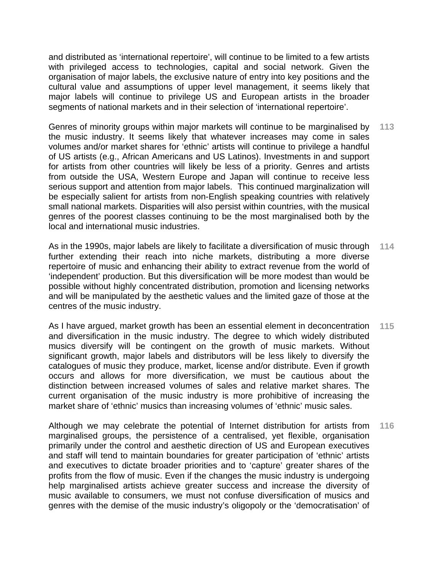and distributed as 'international repertoire', will continue to be limited to a few artists with privileged access to technologies, capital and social network. Given the organisation of major labels, the exclusive nature of entry into key positions and the cultural value and assumptions of upper level management, it seems likely that major labels will continue to privilege US and European artists in the broader segments of national markets and in their selection of 'international repertoire'.

Genres of minority groups within major markets will continue to be marginalised by the music industry. It seems likely that whatever increases may come in sales volumes and/or market shares for 'ethnic' artists will continue to privilege a handful of US artists (e.g., African Americans and US Latinos). Investments in and support for artists from other countries will likely be less of a priority. Genres and artists from outside the USA, Western Europe and Japan will continue to receive less serious support and attention from major labels. This continued marginalization will be especially salient for artists from non-English speaking countries with relatively small national markets. Disparities will also persist within countries, with the musical genres of the poorest classes continuing to be the most marginalised both by the local and international music industries. **113** 

As in the 1990s, major labels are likely to facilitate a diversification of music through further extending their reach into niche markets, distributing a more diverse repertoire of music and enhancing their ability to extract revenue from the world of 'independent' production. But this diversification will be more modest than would be possible without highly concentrated distribution, promotion and licensing networks and will be manipulated by the aesthetic values and the limited gaze of those at the centres of the music industry. **114** 

As I have argued, market growth has been an essential element in deconcentration and diversification in the music industry. The degree to which widely distributed musics diversify will be contingent on the growth of music markets. Without significant growth, major labels and distributors will be less likely to diversify the catalogues of music they produce, market, license and/or distribute. Even if growth occurs and allows for more diversification, we must be cautious about the distinction between increased volumes of sales and relative market shares. The current organisation of the music industry is more prohibitive of increasing the market share of 'ethnic' musics than increasing volumes of 'ethnic' music sales. **115** 

Although we may celebrate the potential of Internet distribution for artists from marginalised groups, the persistence of a centralised, yet flexible, organisation primarily under the control and aesthetic direction of US and European executives and staff will tend to maintain boundaries for greater participation of 'ethnic' artists and executives to dictate broader priorities and to 'capture' greater shares of the profits from the flow of music. Even if the changes the music industry is undergoing help marginalised artists achieve greater success and increase the diversity of music available to consumers, we must not confuse diversification of musics and genres with the demise of the music industry's oligopoly or the 'democratisation' of **116**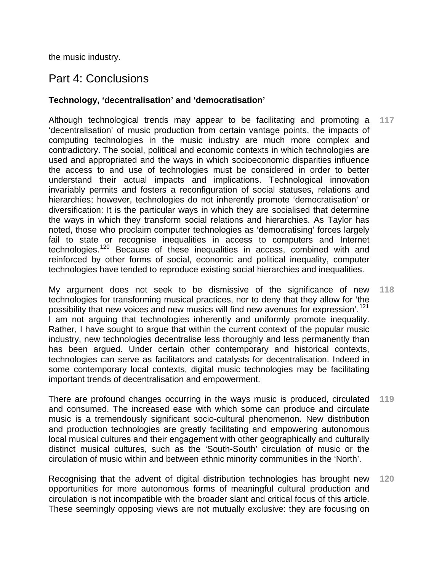the music industry.

## Part 4: Conclusions

## **Technology, 'decentralisation' and 'democratisation'**

Although technological trends may appear to be facilitating and promoting a 'decentralisation' of music production from certain vantage points, the impacts of computing technologies in the music industry are much more complex and contradictory. The social, political and economic contexts in which technologies are used and appropriated and the ways in which socioeconomic disparities influence the access to and use of technologies must be considered in order to better understand their actual impacts and implications. Technological innovation invariably permits and fosters a reconfiguration of social statuses, relations and hierarchies; however, technologies do not inherently promote 'democratisation' or diversification: It is the particular ways in which they are socialised that determine the ways in which they transform social relations and hierarchies. As Taylor has noted, those who proclaim computer technologies as 'democratising' forces largely fail to state or recognise inequalities in access to computers and Internet technologies.[120](#page-43-1) Because of these inequalities in access, combined with and reinforced by other forms of social, economic and political inequality, computer technologies have tended to reproduce existing social hierarchies and inequalities. **117** 

My argument does not seek to be dismissive of the significance of new technologies for transforming musical practices, nor to deny that they allow for 'the possibility that new voices and new musics will find new avenues for expression'.<sup>[121](#page-43-1)</sup> I am not arguing that technologies inherently and uniformly promote inequality. Rather, I have sought to argue that within the current context of the popular music industry, new technologies decentralise less thoroughly and less permanently than has been argued. Under certain other contemporary and historical contexts, technologies can serve as facilitators and catalysts for decentralisation. Indeed in some contemporary local contexts, digital music technologies may be facilitating important trends of decentralisation and empowerment. **118** 

There are profound changes occurring in the ways music is produced, circulated and consumed. The increased ease with which some can produce and circulate music is a tremendously significant socio-cultural phenomenon. New distribution and production technologies are greatly facilitating and empowering autonomous local musical cultures and their engagement with other geographically and culturally distinct musical cultures, such as the 'South-South' circulation of music or the circulation of music within and between ethnic minority communities in the 'North'. **119** 

Recognising that the advent of digital distribution technologies has brought new opportunities for more autonomous forms of meaningful cultural production and circulation is not incompatible with the broader slant and critical focus of this article. These seemingly opposing views are not mutually exclusive: they are focusing on **120**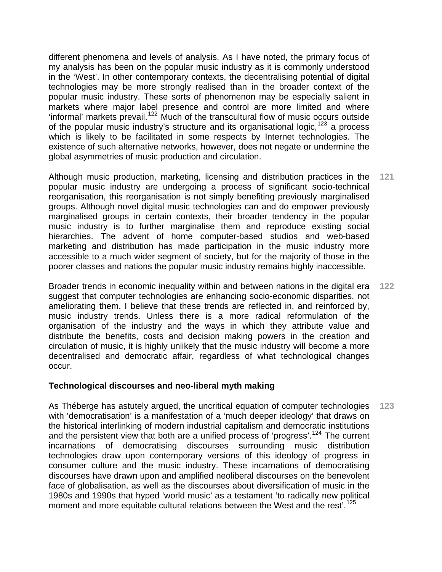different phenomena and levels of analysis. As I have noted, the primary focus of my analysis has been on the popular music industry as it is commonly understood in the 'West'. In other contemporary contexts, the decentralising potential of digital technologies may be more strongly realised than in the broader context of the popular music industry. These sorts of phenomenon may be especially salient in markets where major label presence and control are more limited and where 'informal' markets prevail.<sup>[122](#page-43-1)</sup> Much of the transcultural flow of music occurs outside of the popular music industry's structure and its organisational logic,  $123$  a process which is likely to be facilitated in some respects by Internet technologies. The existence of such alternative networks, however, does not negate or undermine the global asymmetries of music production and circulation.

Although music production, marketing, licensing and distribution practices in the popular music industry are undergoing a process of significant socio-technical reorganisation, this reorganisation is not simply benefiting previously marginalised groups. Although novel digital music technologies can and do empower previously marginalised groups in certain contexts, their broader tendency in the popular music industry is to further marginalise them and reproduce existing social hierarchies. The advent of home computer-based studios and web-based marketing and distribution has made participation in the music industry more accessible to a much wider segment of society, but for the majority of those in the poorer classes and nations the popular music industry remains highly inaccessible. **121** 

Broader trends in economic inequality within and between nations in the digital era suggest that computer technologies are enhancing socio-economic disparities, not ameliorating them. I believe that these trends are reflected in, and reinforced by, music industry trends. Unless there is a more radical reformulation of the organisation of the industry and the ways in which they attribute value and distribute the benefits, costs and decision making powers in the creation and circulation of music, it is highly unlikely that the music industry will become a more decentralised and democratic affair, regardless of what technological changes occur. **122** 

#### **Technological discourses and neo-liberal myth making**

As Théberge has astutely argued, the uncritical equation of computer technologies with 'democratisation' is a manifestation of a 'much deeper ideology' that draws on the historical interlinking of modern industrial capitalism and democratic institutions and the persistent view that both are a unified process of 'progress'.<sup>[124](#page-43-1)</sup> The current incarnations of democratising discourses surrounding music distribution technologies draw upon contemporary versions of this ideology of progress in consumer culture and the music industry. These incarnations of democratising discourses have drawn upon and amplified neoliberal discourses on the benevolent face of globalisation, as well as the discourses about diversification of music in the 1980s and 1990s that hyped 'world music' as a testament 'to radically new political moment and more equitable cultural relations between the West and the rest<sup>'</sup>.<sup>[125](#page-43-1)</sup> **123**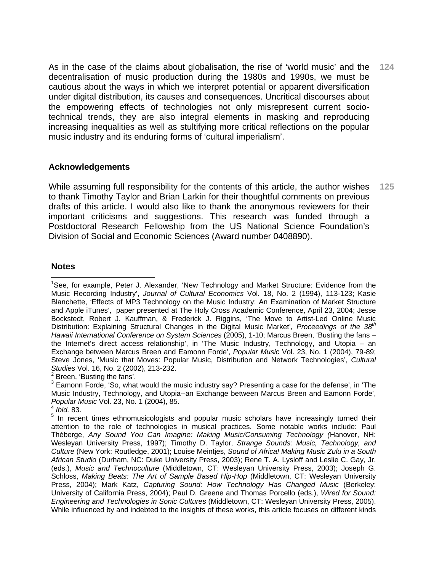As in the case of the claims about globalisation, the rise of 'world music' and the decentralisation of music production during the 1980s and 1990s, we must be cautious about the ways in which we interpret potential or apparent diversification under digital distribution, its causes and consequences. Uncritical discourses about the empowering effects of technologies not only misrepresent current sociotechnical trends, they are also integral elements in masking and reproducing increasing inequalities as well as stultifying more critical reflections on the popular music industry and its enduring forms of 'cultural imperialism'. **124** 

### **Acknowledgements**

While assuming full responsibility for the contents of this article, the author wishes to thank Timothy Taylor and Brian Larkin for their thoughtful comments on previous drafts of this article. I would also like to thank the anonymous reviewers for their important criticisms and suggestions. This research was funded through a Postdoctoral Research Fellowship from the US National Science Foundation's Division of Social and Economic Sciences (Award number 0408890). **125** 

#### **Notes**

 $\overline{a}$ <sup>1</sup>See, for example, Peter J. Alexander, 'New Technology and Market Structure: Evidence from the Music Recording Industry', *Journal of Cultural Economics* Vol. 18, No. 2 (1994), 113-123; Kasie Blanchette, 'Effects of MP3 Technology on the Music Industry: An Examination of Market Structure and Apple iTunes', paper presented at The Holy Cross Academic Conference, April 23, 2004; Jesse Bockstedt, Robert J. Kauffman, & Frederick J. Riggins, 'The Move to Artist-Led Online Music Distribution: Explaining Structural Changes in the Digital Music Market', *Proceedings of the 38<sup>th</sup> Hawaii International Conference on System Sciences* (2005), 1-10; Marcus Breen, 'Busting the fans – the Internet's direct access relationship', in 'The Music Industry, Technology, and Utopia – an Exchange between Marcus Breen and Eamonn Forde', *Popular Music* Vol. 23, No. 1 (2004), 79-89; Steve Jones, 'Music that Moves: Popular Music, Distribution and Network Technologies', *Cultural Studies* Vol. 16, No. 2 (2002), 213-232. 2

 $2$  Breen, 'Busting the fans'.

 $3$  Eamonn Forde, 'So, what would the music industry say? Presenting a case for the defense', in 'The Music Industry, Technology, and Utopia--an Exchange between Marcus Breen and Eamonn Forde', *Popular Music* Vol. 23, No. 1 (2004), 85. 4 *Ibid.* 83.

<sup>&</sup>lt;sup>5</sup> In recent times ethnomusicologists and popular music scholars have increasingly turned their attention to the role of technologies in musical practices. Some notable works include: Paul Théberge, *Any Sound You Can Imagine: Making Music/Consuming Technology (*Hanover, NH: Wesleyan University Press, 1997); Timothy D. Taylor, *Strange Sounds: Music, Technology, and Culture* (New York: Routledge, 2001); Louise Meintjes, *Sound of Africa! Making Music Zulu in a South African Studio* (Durham, NC: Duke University Press, 2003); Rene T. A. Lysloff and Leslie C. Gay, Jr. (eds.), *Music and Technoculture* (Middletown, CT: Wesleyan University Press, 2003); Joseph G. Schloss, *Making Beats: The Art of Sample Based Hip-Hop* (Middletown, CT: Wesleyan University Press, 2004); Mark Katz, *Capturing Sound: How Technology Has Changed Music* (Berkeley: University of California Press, 2004); Paul D. Greene and Thomas Porcello (eds.), *Wired for Sound: Engineering and Technologies in Sonic Cultures* (Middletown, CT: Wesleyan University Press, 2005). While influenced by and indebted to the insights of these works, this article focuses on different kinds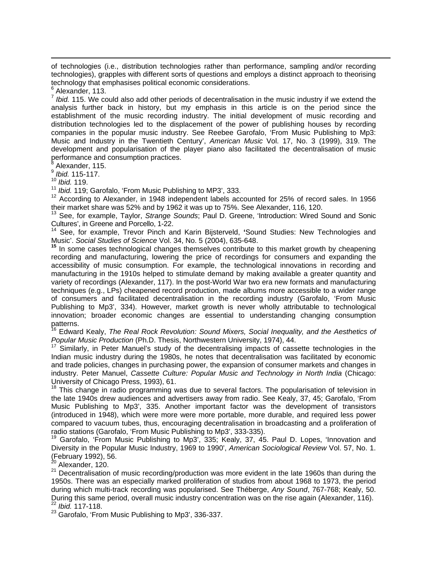of technologies (i.e., distribution technologies rather than performance, sampling and/or recording technologies), grapples with different sorts of questions and employs a distinct approach to theorising technology that emphasises political economic considerations.

 $\overline{a}$ 

<sup>7</sup> *Ibid.* 115. We could also add other periods of decentralisation in the music industry if we extend the analysis further back in history, but my emphasis in this article is on the period since the establishment of the music recording industry. The initial development of music recording and distribution technologies led to the displacement of the power of publishing houses by recording companies in the popular music industry. See Reebee Garofalo, 'From Music Publishing to Mp3: Music and Industry in the Twentieth Century', *American Music* Vol. 17, No. 3 (1999), 319. The development and popularisation of the player piano also facilitated the decentralisation of music performance and consumption practices.<br><sup>8</sup> Alexander, 115

Alexander, 115.

<sup>9</sup> *Ibid.* 115-117.

<sup>10</sup> *Ibid.* 119.<br><sup>11</sup> *Ibid.* 119; Garofalo, 'From Music Publishing to MP3', 333.

<sup>12</sup> According to Alexander, in 1948 independent labels accounted for 25% of record sales. In 1956<br>their market share was 52% and by 1962 it was up to 75%. See Alexander, 116, 120.

<sup>13</sup> See, for example, Taylor, Strange Sounds; Paul D. Greene, 'Introduction: Wired Sound and Sonic Cultures', in Greene and Porcello, 1-22.

14 See, for example, Trevor Pinch and Karin Bijsterveld, **'**Sound Studies: New Technologies and Music'. *Social Studies of Science* Vol. 34, No. 5 (2004), 635-648.

**<sup>15</sup>** In some cases technological changes themselves contribute to this market growth by cheapening recording and manufacturing, lowering the price of recordings for consumers and expanding the accessibility of music consumption. For example, the technological innovations in recording and manufacturing in the 1910s helped to stimulate demand by making available a greater quantity and variety of recordings (Alexander, 117). In the post-World War two era new formats and manufacturing techniques (e.g., LPs) cheapened record production, made albums more accessible to a wider range of consumers and facilitated decentralisation in the recording industry (Garofalo, 'From Music Publishing to Mp3', 334). However, market growth is never wholly attributable to technological innovation; broader economic changes are essential to understanding changing consumption patterns.

<sup>16</sup> Edward Kealy, *The Real Rock Revolution: Sound Mixers, Social Inequality, and the Aesthetics of Popular Music Production* (Ph.D. Thesis, Northwestern University, 1974), 44.<br><sup>17</sup> Similarly, in Peter Manuel's study of the decentralising impacts of cassette technologies in the

Indian music industry during the 1980s, he notes that decentralisation was facilitated by economic and trade policies, changes in purchasing power, the expansion of consumer markets and changes in industry. Peter Manuel, *Cassette Culture: Popular Music and Technology in North India* (Chicago: University of Chicago Press, 1993), 61.

<sup>18</sup> This change in radio programming was due to several factors. The popularisation of television in the late 1940s drew audiences and advertisers away from radio. See Kealy, 37, 45; Garofalo, 'From Music Publishing to Mp3', 335. Another important factor was the development of transistors (introduced in 1948), which were more were more portable, more durable, and required less power compared to vacuum tubes, thus, encouraging decentralisation in broadcasting and a proliferation of radio stations (Garofalo, 'From Music Publishing to Mp3', 333-335).<br><sup>19</sup> Garofalo, 'From Music Publishing to Mp3', 335; Kealy, 37, 45. Paul D. Lopes, 'Innovation and

Diversity in the Popular Music Industry, 1969 to 1990', *American Sociological Review* Vol. 57, No. 1. (February 1992), 56.

<sup>20</sup> Alexander, 120.

 $21$  Decentralisation of music recording/production was more evident in the late 1960s than during the 1950s. There was an especially marked proliferation of studios from about 1968 to 1973, the period during which multi-track recording was popularised. See Théberge, *Any Sound*, 767-768; Kealy, 50. During this same period, overall music industry concentration was on the rise again (Alexander, 116).<br><sup>22</sup> *Ibid.* 117-118.

<sup>23</sup> Garofalo, 'From Music Publishing to Mp3', 336-337.

<sup>&</sup>lt;sup>6</sup> Alexander, 113.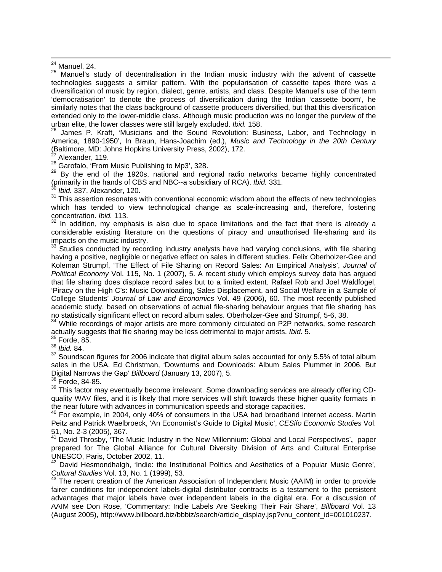$25$  Manuel's study of decentralisation in the Indian music industry with the advent of cassette technologies suggests a similar pattern. With the popularisation of cassette tapes there was a diversification of music by region, dialect, genre, artists, and class. Despite Manuel's use of the term 'democratisation' to denote the process of diversification during the Indian 'cassette boom', he similarly notes that the class background of cassette producers diversified, but that this diversification extended only to the lower-middle class. Although music production was no longer the purview of the urban elite, the lower classes were still largely excluded. *Ibid.* 158.

<sup>26</sup> James P. Kraft, 'Musicians and the Sound Revolution: Business, Labor, and Technology in America, 1890-1950', In Braun, Hans-Joachim (ed.), *Music and Technology in the 20th Century* (Baltimore, MD: Johns Hopkins University Press, 2002), 172.

 $^{27}$  Alexander, 119.<br><sup>28</sup> Garofalo, 'From Music Publishing to Mp3', 328.

<sup>29</sup> By the end of the 1920s, national and regional radio networks became highly concentrated (primarily in the hands of CBS and NBC--a subsidiary of RCA). *Ibid.* 331.

<sup>30</sup> *Ibid.* 337. Alexander, 120.

<sup>31</sup> This assertion resonates with conventional economic wisdom about the effects of new technologies which has tended to view technological change as scale-increasing and, therefore, fostering concentration. *Ibid.* 113.

In addition, my emphasis is also due to space limitations and the fact that there is already a considerable existing literature on the questions of piracy and unauthorised file-sharing and its impacts on the music industry.

 $33$  Studies conducted by recording industry analysts have had varying conclusions, with file sharing having a positive, negligible or negative effect on sales in different studies. Felix Oberholzer-Gee and Koleman Strumpf, 'The Effect of File Sharing on Record Sales: An Empirical Analysis', *Journal of Political Economy* Vol. 115, No. 1 (2007), 5. A recent study which employs survey data has argued that file sharing does displace record sales but to a limited extent. Rafael Rob and Joel Waldfogel, 'Piracy on the High C's: Music Downloading, Sales Displacement, and Social Welfare in a Sample of College Students' *Journal of Law and Economics* Vol. 49 (2006), 60. The most recently published academic study, based on observations of actual file-sharing behaviour argues that file sharing has no statistically significant effect on record album sales. Oberholzer-Gee and Strumpf, 5-6, 38.

<sup>34</sup> While recordings of major artists are more commonly circulated on P2P networks, some research actually suggests that file sharing may be less detrimental to major artists. *Ibid.* 5.

 $35$  Forde, 85.

<sup>36</sup> *Ibid.* 84.

 $37$  Soundscan figures for 2006 indicate that digital album sales accounted for only 5.5% of total album sales in the USA. Ed Christman, 'Downturns and Downloads: Album Sales Plummet in 2006, But Digital Narrows the Gap' *Billboard* (January 13, 2007), 5.<br><sup>38</sup> Forde, 84-85.

<sup>39</sup> This factor may eventually become irrelevant. Some downloading services are already offering CDquality WAV files, and it is likely that more services will shift towards these higher quality formats in the near future with advances in communication speeds and storage capacities.

 $40$  For example, in 2004, only 40% of consumers in the USA had broadband internet access. Martin Peitz and Patrick Waelbroeck, 'An Economist's Guide to Digital Music', *CESifo Economic Studies* Vol. 51, No. 2-3 (2005), 367.

41 David Throsby, 'The Music Industry in the New Millennium: Global and Local Perspectives'**,** paper prepared for The Global Alliance for Cultural Diversity Division of Arts and Cultural Enterprise UNESCO, Paris, October 2002, 11.

 $42$  David Hesmondhalgh, 'Indie: the Institutional Politics and Aesthetics of a Popular Music Genre', Cultural Studies Vol. 13, No. 1 (1999), 53.

<sup>43</sup> The recent creation of the American Association of Independent Music (AAIM) in order to provide fairer conditions for independent labels-digital distributor contracts is a testament to the persistent advantages that major labels have over independent labels in the digital era. For a discussion of AAIM see Don Rose, 'Commentary: Indie Labels Are Seeking Their Fair Share', *Billboard* Vol. 13 (August 2005), http://www.billboard.biz/bbbiz/search/article\_display.jsp?vnu\_content\_id=001010237.

 $24$  Manuel, 24.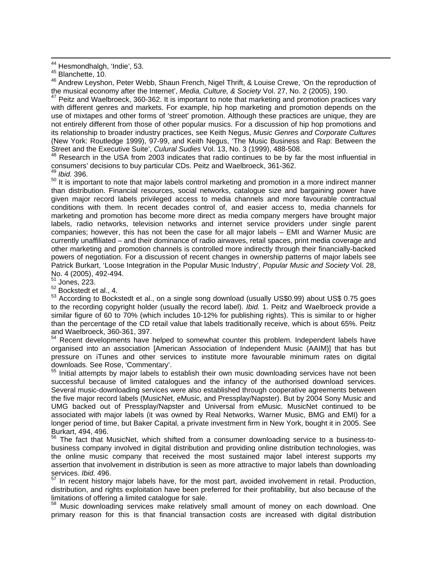<sup>46</sup> Andrew Leyshon, Peter Webb, Shaun French, Nigel Thrift, & Louise Crewe, 'On the reproduction of the musical economy after the Internet', *Media, Culture, & Society* Vol. 27, No. 2 (2005), 190.<br><sup>47</sup> Peitz and Waelbroeck, 360-362. It is important to note that marketing and promotion practices vary

with different genres and markets. For example, hip hop marketing and promotion depends on the use of mixtapes and other forms of 'street' promotion. Although these practices are unique, they are not entirely different from those of other popular musics. For a discussion of hip hop promotions and its relationship to broader industry practices, see Keith Negus, *Music Genres and Corporate Cultures* (New York: Routledge 1999), 97-99, and Keith Negus, 'The Music Business and Rap: Between the Street and the Executive Suite', *Culural Sudies* Vol. 13, No. 3 (1999), 488-508.<br><sup>48</sup> Research in the USA from 2003 indicates that radio continues to be by far the most influential in

consumers' decisions to buy particular CDs. Peitz and Waelbroeck, 361-362.

<sup>'</sup> Ibid. 396.

 $50$  It is important to note that major labels control marketing and promotion in a more indirect manner than distribution. Financial resources, social networks, catalogue size and bargaining power have given major record labels privileged access to media channels and more favourable contractual conditions with them. In recent decades control of, and easier access to, media channels for marketing and promotion has become more direct as media company mergers have brought major labels, radio networks, television networks and internet service providers under single parent companies; however, this has not been the case for all major labels – EMI and Warner Music are currently unaffiliated – and their dominance of radio airwaves, retail spaces, print media coverage and other marketing and promotion channels is controlled more indirectly through their financially-backed powers of negotiation. For a discussion of recent changes in ownership patterns of major labels see Patrick Burkart, 'Loose Integration in the Popular Music Industry', *Popular Music and Society* Vol. 28, No. 4 (2005), 492-494.

 $51$  Jones, 223.

 $52$  Bockstedt et al., 4.

<sup>53</sup> According to Bockstedt et al., on a single song download (usually US\$0.99) about US\$ 0.75 goes to the recording copyright holder (usually the record label). *Ibid.* 1. Peitz and Waelbroeck provide a similar figure of 60 to 70% (which includes 10-12% for publishing rights). This is similar to or higher than the percentage of the CD retail value that labels traditionally receive, which is about 65%. Peitz and Waelbroeck, 360-361, 397.

54 Recent developments have helped to somewhat counter this problem. Independent labels have organised into an association [American Association of Independent Music (AAIM)] that has but pressure on iTunes and other services to institute more favourable minimum rates on digital downloads. See Rose, 'Commentary'.

<sup>55</sup> Initial attempts by major labels to establish their own music downloading services have not been successful because of limited catalogues and the infancy of the authorised download services. Several music-downloading services were also established through cooperative agreements between the five major record labels (MusicNet, eMusic, and Pressplay/Napster). But by 2004 Sony Music and UMG backed out of Pressplay/Napster and Universal from eMusic. MusicNet continued to be associated with major labels (it was owned by Real Networks, Warner Music, BMG and EMI) for a longer period of time, but Baker Capital, a private investment firm in New York, bought it in 2005. See Burkart, 494, 496.

<sup>56</sup> The fact that MusicNet, which shifted from a consumer downloading service to a business-tobusiness company involved in digital distribution and providing online distribution technologies, was the online music company that received the most sustained major label interest supports my assertion that involvement in distribution is seen as more attractive to major labels than downloading services. *Ibid.* 496.

 $57$  In recent history major labels have, for the most part, avoided involvement in retail. Production, distribution, and rights exploitation have been preferred for their profitability, but also because of the limitations of offering a limited catalogue for sale.

<sup>58</sup> Music downloading services make relatively small amount of money on each download. One primary reason for this is that financial transaction costs are increased with digital distribution

<sup>&</sup>lt;sup>44</sup> Hesmondhalgh, 'Indie', 53.<br><sup>45</sup> Blanchette, 10.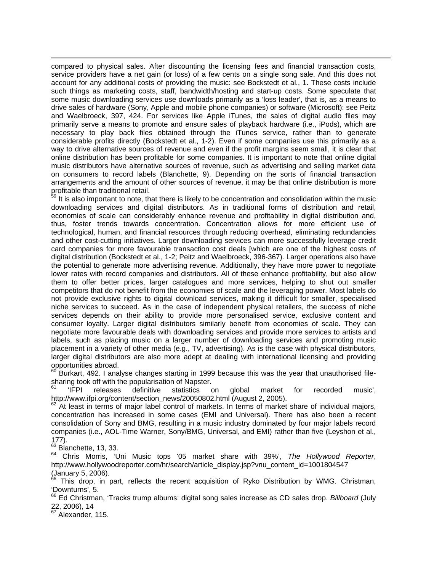$\overline{a}$ compared to physical sales. After discounting the licensing fees and financial transaction costs, service providers have a net gain (or loss) of a few cents on a single song sale. And this does not account for any additional costs of providing the music: see Bockstedt et al., 1. These costs include such things as marketing costs, staff, bandwidth/hosting and start-up costs. Some speculate that some music downloading services use downloads primarily as a 'loss leader', that is, as a means to drive sales of hardware (Sony, Apple and mobile phone companies) or software (Microsoft): see Peitz and Waelbroeck, 397, 424. For services like Apple iTunes, the sales of digital audio files may primarily serve a means to promote and ensure sales of playback hardware (i.e., iPods), which are necessary to play back files obtained through the iTunes service, rather than to generate considerable profits directly (Bockstedt et al., 1-2). Even if some companies use this primarily as a way to drive alternative sources of revenue and even if the profit margins seem small, it is clear that online distribution has been profitable for some companies. It is important to note that online digital music distributors have alternative sources of revenue, such as advertising and selling market data on consumers to record labels (Blanchette, 9). Depending on the sorts of financial transaction arrangements and the amount of other sources of revenue, it may be that online distribution is more profitable than traditional retail.

It is also important to note, that there is likely to be concentration and consolidation within the music downloading services and digital distributors. As in traditional forms of distribution and retail, economies of scale can considerably enhance revenue and profitability in digital distribution and, thus, foster trends towards concentration. Concentration allows for more efficient use of technological, human, and financial resources through reducing overhead, eliminating redundancies and other cost-cutting initiatives. Larger downloading services can more successfully leverage credit card companies for more favourable transaction cost deals [which are one of the highest costs of digital distribution (Bockstedt et al., 1-2; Peitz and Waelbroeck, 396-367). Larger operations also have the potential to generate more advertising revenue. Additionally, they have more power to negotiate lower rates with record companies and distributors. All of these enhance profitability, but also allow them to offer better prices, larger catalogues and more services, helping to shut out smaller competitors that do not benefit from the economies of scale and the leveraging power. Most labels do not provide exclusive rights to digital download services, making it difficult for smaller, specialised niche services to succeed. As in the case of independent physical retailers, the success of niche services depends on their ability to provide more personalised service, exclusive content and consumer loyalty. Larger digital distributors similarly benefit from economies of scale. They can negotiate more favourable deals with downloading services and provide more services to artists and labels, such as placing music on a larger number of downloading services and promoting music placement in a variety of other media (e.g., TV, advertising). As is the case with physical distributors, larger digital distributors are also more adept at dealing with international licensing and providing opportunities abroad.

Burkart, 492. I analyse changes starting in 1999 because this was the year that unauthorised filesharing took off with the popularisation of Napster.

 $61$  'IFPI releases definitive statistics on global market for recorded music', http://www.ifpi.org/content/section\_news/20050802.html (August 2, 2005).

 $62$  At least in terms of major label control of markets. In terms of market share of individual majors, concentration has increased in some cases (EMI and Universal). There has also been a recent consolidation of Sony and BMG, resulting in a music industry dominated by four major labels record companies (i.e., AOL-Time Warner, Sony/BMG, Universal, and EMI) rather than five (Leyshon et al., 177).

 $63$  Blanchette, 13, 33.

<sup>64</sup> Chris Morris, 'Uni Music tops '05 market share with 39%', *The Hollywood Reporter*, http://www.hollywoodreporter.com/hr/search/article\_display.jsp?vnu\_content\_id=1001804547 (January 5, 2006).

 $65$  This drop, in part, reflects the recent acquisition of Ryko Distribution by WMG. Christman, 'Downturns', 5.

66 Ed Christman, 'Tracks trump albums: digital song sales increase as CD sales drop. *Billboard* (July 22, 2006), 14

<sup>67</sup> Alexander, 115.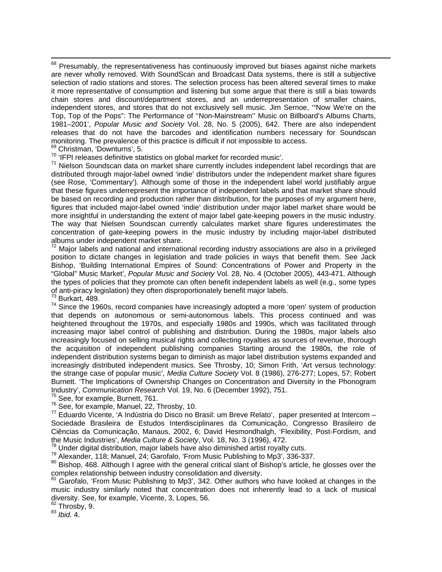<sup>68</sup> Presumably, the representativeness has continuously improved but biases against niche markets are never wholly removed. With SoundScan and Broadcast Data systems, there is still a subjective selection of radio stations and stores. The selection process has been altered several times to make it more representative of consumption and listening but some argue that there is still a bias towards chain stores and discount/department stores, and an underrepresentation of smaller chains, independent stores, and stores that do not exclusively sell music. Jim Sernoe, '"Now We're on the Top, Top of the Pops": The Performance of ''Non-Mainstream'' Music on Billboard's Albums Charts, 1981–2001', *Popular Music and Society* Vol. 28, No. 5 (2005), 642. There are also independent releases that do not have the barcodes and identification numbers necessary for Soundscan monitoring. The prevalence of this practice is difficult if not impossible to access.<br><sup>69</sup> Christman, 'Downturns', 5.<br><sup>70</sup> 'IFPI releases definitive statistics on global market for recorded music'.

 $71$  Nielson Soundscan data on market share currently includes independent label recordings that are distributed through major-label owned 'indie' distributors under the independent market share figures (see Rose, 'Commentary'). Although some of those in the independent label world justifiably argue that these figures underrepresent the importance of independent labels and that market share should be based on recording and production rather than distribution, for the purposes of my argument here, figures that included major-label owned 'indie' distribution under major label market share would be more insightful in understanding the extent of major label gate-keeping powers in the music industry. The way that Nielsen Soundscan currently calculates market share figures underestimates the concentration of gate-keeping powers in the music industry by including major-label distributed albums under independent market share.

 $72$  Major labels and national and international recording industry associations are also in a privileged position to dictate changes in legislation and trade policies in ways that benefit them. See Jack Bishop, 'Building International Empires of Sound: Concentrations of Power and Property in the "Global" Music Market', *Popular Music and Society* Vol. 28, No. 4 (October 2005), 443-471. Although the types of policies that they promote can often benefit independent labels as well (e.g., some types of anti-piracy legislation) they often disproportionately benefit major labels.<br><sup>73</sup> Burkart, 489.

 $74$  Since the 1960s, record companies have increasingly adopted a more 'open' system of production that depends on autonomous or semi-autonomous labels. This process continued and was heightened throughout the 1970s, and especially 1980s and 1990s, which was facilitated through increasing major label control of publishing and distribution. During the 1980s, major labels also increasingly focused on selling musical rights and collecting royalties as sources of revenue, thorough the acquisition of independent publishing companies Starting around the 1980s, the role of independent distribution systems began to diminish as major label distribution systems expanded and increasingly distributed independent musics. See Throsby, 10; Simon Frith, 'Art versus technology: the strange case of popular music', *Media Culture Society* Vol. 8 (1986), 276-277; Lopes, 57; Robert Burnett. 'The Implications of Ownership Changes on Concentration and Diversity in the Phonogram Industry', Communication Research Vol. 19, No. 6 (December 1992), 751.<br><sup>75</sup> See, for example, Burnett, 761.<br><sup>76</sup> See, for example, Manuel, 22, Throsby, 10.<br><sup>77</sup> Eduardo Vicente, 'A Indùstria do Disco no Brasil: um Breve Re

Sociedade Brasileira de Estudos Interdisciplinares da Comunicação, Congresso Brasileiro de Ciências da Comunicação, Manaus, 2002, 6; David Hesmondhalgh, 'Flexibility, Post-Fordism, and

the Music Industries', *Media Culture & Society*, Vol. 18, No. 3 (1996), 472.<br><sup>78</sup> Under digital distribution, major labels have also diminished artist royalty cuts.<br><sup>79</sup> Alexander, 118; Manuel, 24; Garofalo, 'From Music

 $81$  Garofalo, 'From Music Publishing to Mp3', 342. Other authors who have looked at changes in the music industry similarly noted that concentration does not inherently lead to a lack of musical diversity. See, for example, Vicente, 3, Lopes, 56.

82 Throsby, 9. 83 *Ibid.* 4.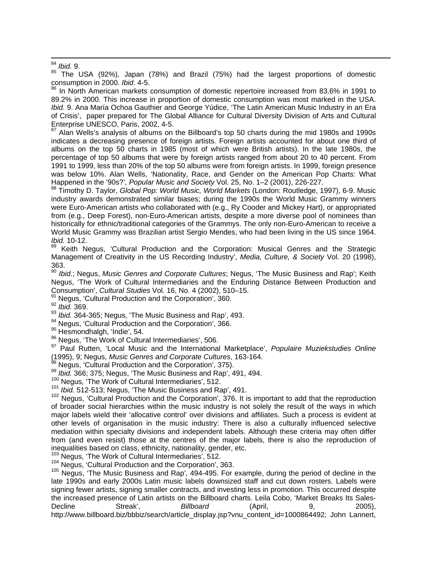85 The USA (92%), Japan (78%) and Brazil (75%) had the largest proportions of domestic consumption in 2000. *Ibid*. 4-5.

<sup>86</sup> In North American markets consumption of domestic repertoire increased from 83.6% in 1991 to 89.2% in 2000. This increase in proportion of domestic consumption was most marked in the USA. *Ibid*. 9. Ana María Ochoa Gauthier and George Yúdice, 'The Latin American Music Industry in an Era of Crisis', paper prepared for The Global Alliance for Cultural Diversity Division of Arts and Cultural Enterprise UNESCO, Paris, 2002, 4-5.

 $87$  Alan Wells's analysis of albums on the Billboard's top 50 charts during the mid 1980s and 1990s indicates a decreasing presence of foreign artists. Foreign artists accounted for about one third of albums on the top 50 charts in 1985 (most of which were British artists). In the late 1980s, the percentage of top 50 albums that were by foreign artists ranged from about 20 to 40 percent. From 1991 to 1999, less than 20% of the top 50 albums were from foreign artists. In 1999, foreign presence was below 10%. Alan Wells, 'Nationality, Race, and Gender on the American Pop Charts: What Happened in the '90s?', *Popular Music and Society* Vol. 25, No. 1–2 (2001), 226-227.<br><sup>88</sup> Timothy D. Taylor, *Global Pop: World Music, World Markets* (London: Routledge, 1997), 6-9. Music

industry awards demonstrated similar biases; during the 1990s the World Music Grammy winners were Euro-American artists who collaborated with (e.g., Ry Cooder and Mickey Hart), or appropriated from (e.g., Deep Forest), non-Euro-American artists, despite a more diverse pool of nominees than historically for ethnic/traditional categories of the Grammys. The only non-Euro-American to receive a World Music Grammy was Brazilian artist Sergio Mendes, who had been living in the US since 1964. *Ibid.* 10-12.

Keith Negus, 'Cultural Production and the Corporation: Musical Genres and the Strategic Management of Creativity in the US Recording Industry', *Media, Culture, & Society* Vol. 20 (1998), 363.

<sup>90</sup> *Ibid*.; Negus, *Music Genres and Corporate Cultures*; Negus, 'The Music Business and Rap'; Keith Negus, 'The Work of Cultural Intermediaries and the Enduring Distance Between Production and Consumption', *Cultural Studies* Vol. 16, No. 4 (2002), 510–15.<br><sup>91</sup> Negus, 'Cultural Production and the Corporation', 360.<br><sup>92</sup> *Ibid.* 364-365; Negus, 'The Music Business and Rap', 493.

<sup>94</sup> Negus, 'Cultural Production and the Corporation', 366.<br><sup>95</sup> Hesmondhalgh, 'Indie', 54.<br><sup>96</sup> Negus, 'The Work of Cultural Intermediaries', 506.<br><sup>97</sup> Paul Rutten, 'Local Music and the International Marketplace', *Popula* (1995), 9; Negus, *Music Genres and Corporate Cultures*, 163-164.

<sup>99</sup> Ibid. 366; 375; Negus, 'The Music Business and Rap', 491, 494.<br><sup>100</sup> Negus, 'The Work of Cultural Intermediaries', 512.<br><sup>101</sup> Ibid. 512-513; Negus, 'The Music Business and Rap', 491.<br><sup>102</sup> Negus. 'Cultural Production of broader social hierarchies within the music industry is not solely the result of the ways in which major labels wield their 'allocative control' over divisions and affiliates. Such a process is evident at other levels of organisation in the music industry: There is also a culturally influenced selective mediation within specialty divisions and independent labels. Although these criteria may often differ from (and even resist) those at the centres of the major labels, there is also the reproduction of inequalities based on class, ethnicity, nationality, gender, etc.<br><sup>103</sup> Negus, 'The Work of Cultural Intermediaries', 512.<br><sup>104</sup> Negus, 'Cultural Production and the Corporation', 363.<br><sup>105</sup> Negus, 'The Music Business and R

late 1990s and early 2000s Latin music labels downsized staff and cut down rosters. Labels were signing fewer artists, signing smaller contracts, and investing less in promotion. This occurred despite the increased presence of Latin artists on the Billboard charts. Leila Cobo, 'Market Breaks Its Sales-Decline Streak', *Billboard* (April, 9, 2005), http://www.billboard.biz/bbbiz/search/article\_display.jsp?vnu\_content\_id=1000864492; John Lannert,

 $\frac{84}{85}$  *Ibid.* 9.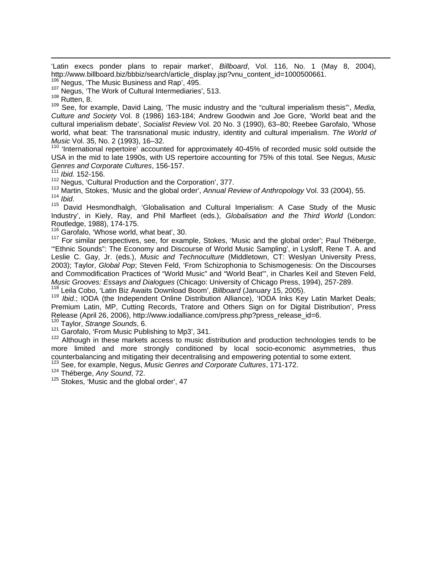'Latin execs ponder plans to repair market', *Billboard*, Vol. 116, No. 1 (May 8, 2004), http://www.billboard.biz/bbbiz/search/article\_display.jsp?vnu\_content\_id=1000500661.<br><sup>106</sup> Negus, 'The Music Business and Rap', 495.<br><sup>107</sup> Negus, 'The Work of Cultural Intermediaries', 513.<br><sup>108</sup> Rutten, 8.

 $\overline{a}$ 

109 See, for example, David Laing, 'The music industry and the "cultural imperialism thesis"', *Media, Culture and Society* Vol. 8 (1986) 163-184; Andrew Goodwin and Joe Gore, 'World beat and the cultural imperialism debate', *Socialist Review* Vol. 20 No. 3 (1990), 63–80; Reebee Garofalo, 'Whose world, what beat: The transnational music industry, identity and cultural imperialism. *The World of Music* Vol. 35, No. 2 (1993), 16–32.<br><sup>110</sup> 'International repertoire' accounted for approximately 40-45% of recorded music sold outside the

USA in the mid to late 1990s, with US repertoire accounting for 75% of this total. See Negus, *Music Genres and Corporate Cultures*, 156-157.

<sup>111</sup> *Ibid.* 152-156.

<sup>112</sup> Negus, 'Cultural Production and the Corporation', 377.<br><sup>113</sup> Martin, Stokes, 'Music and the global order', *Annual Review of Anthropology* Vol. 33 (2004), 55.<br><sup>114</sup> Ibid

<sup>115</sup> David Hesmondhalgh, 'Globalisation and Cultural Imperialism: A Case Study of the Music Industry', in Kiely, Ray, and Phil Marfleet (eds.), *Globalisation and the Third World* (London: Routledge, 1988), 174-175.

<sup>116</sup> Garofalo, 'Whose world, what beat', 30.

117 For similar perspectives, see, for example, Stokes, 'Music and the global order'; Paul Théberge, '"Ethnic Sounds": The Economy and Discourse of World Music Sampling', in Lysloff, Rene T. A. and Leslie C. Gay, Jr. (eds.), *Music and Technoculture* (Middletown, CT: Weslyan University Press, 2003); Taylor, *Global Pop*; Steven Feld, 'From Schizophonia to Schismogenesis: On the Discourses and Commodification Practices of "World Music" and "World Beat"', in Charles Keil and Steven Feld, Music Grooves: Essays and Dialogues (Chicago: University of Chicago Press, 1994), 257-289.

<sup>118</sup> Leila Cobo, 'Latin Biz Awaits Download Boom', Billboard (January 15, 2005).<br><sup>119</sup> Ibid.; IODA (the Independent Online Distribution Alliance), 'IODA Inks Key Latin Market Deals; Premium Latin, MP, Cutting Records, Tratore and Others Sign on for Digital Distribution'. Press Release (April 26, 2006), http://www.iodalliance.com/press.php?press\_release\_id=6.

120 Taylor, *Strange Sounds*, 6.

 $121$  Garofalo, 'From Music Publishing to Mp3', 341.<br><sup>122</sup> Although in these markets access to music distribution and production technologies tends to be more limited and more strongly conditioned by local socio-economic asymmetries, thus counterbalancing and mitigating their decentralising and empowering potential to some extent. 123 See, for example, Negus, *Music Genres and Corporate Cultures*, 171-172.

124 Théberge, *Any Sound*, 72.

 $125$  Stokes, 'Music and the global order', 47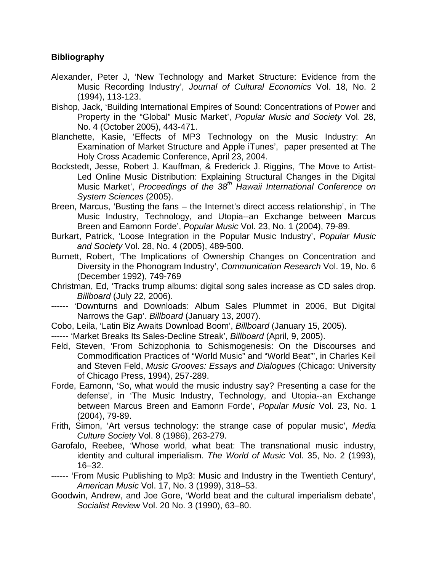## **Bibliography**

- Alexander, Peter J, 'New Technology and Market Structure: Evidence from the Music Recording Industry', *Journal of Cultural Economics* Vol. 18, No. 2 (1994), 113-123.
- Bishop, Jack, 'Building International Empires of Sound: Concentrations of Power and Property in the "Global" Music Market', *Popular Music and Society* Vol. 28, No. 4 (October 2005), 443-471.
- Blanchette, Kasie, 'Effects of MP3 Technology on the Music Industry: An Examination of Market Structure and Apple iTunes', paper presented at The Holy Cross Academic Conference, April 23, 2004.
- Bockstedt, Jesse, Robert J. Kauffman, & Frederick J. Riggins, 'The Move to Artist-Led Online Music Distribution: Explaining Structural Changes in the Digital Music Market', *Proceedings of the 38th Hawaii International Conference on System Sciences* (2005).
- Breen, Marcus, 'Busting the fans the Internet's direct access relationship', in 'The Music Industry, Technology, and Utopia--an Exchange between Marcus Breen and Eamonn Forde', *Popular Music* Vol. 23, No. 1 (2004), 79-89.
- Burkart, Patrick, 'Loose Integration in the Popular Music Industry', *Popular Music and Society* Vol. 28, No. 4 (2005), 489-500.
- Burnett, Robert, 'The Implications of Ownership Changes on Concentration and Diversity in the Phonogram Industry', *Communication Research* Vol. 19, No. 6 (December 1992), 749-769
- Christman, Ed, 'Tracks trump albums: digital song sales increase as CD sales drop. *Billboard* (July 22, 2006).
- ------ 'Downturns and Downloads: Album Sales Plummet in 2006, But Digital Narrows the Gap'. *Billboard* (January 13, 2007).
- Cobo, Leila, 'Latin Biz Awaits Download Boom', *Billboard* (January 15, 2005).
- ------ 'Market Breaks Its Sales-Decline Streak', *Billboard* (April, 9, 2005).
- Feld, Steven, 'From Schizophonia to Schismogenesis: On the Discourses and Commodification Practices of "World Music" and "World Beat"', in Charles Keil and Steven Feld, *Music Grooves: Essays and Dialogues* (Chicago: University of Chicago Press, 1994), 257-289.
- Forde, Eamonn, 'So, what would the music industry say? Presenting a case for the defense', in 'The Music Industry, Technology, and Utopia--an Exchange between Marcus Breen and Eamonn Forde', *Popular Music* Vol. 23, No. 1 (2004), 79-89.
- Frith, Simon, 'Art versus technology: the strange case of popular music', *Media Culture Society* Vol. 8 (1986), 263-279.
- Garofalo, Reebee, 'Whose world, what beat: The transnational music industry, identity and cultural imperialism. *The World of Music* Vol. 35, No. 2 (1993), 16–32.
- ------ 'From Music Publishing to Mp3: Music and Industry in the Twentieth Century', *American Music* Vol. 17, No. 3 (1999), 318–53.
- Goodwin, Andrew, and Joe Gore, 'World beat and the cultural imperialism debate', *Socialist Review* Vol. 20 No. 3 (1990), 63–80.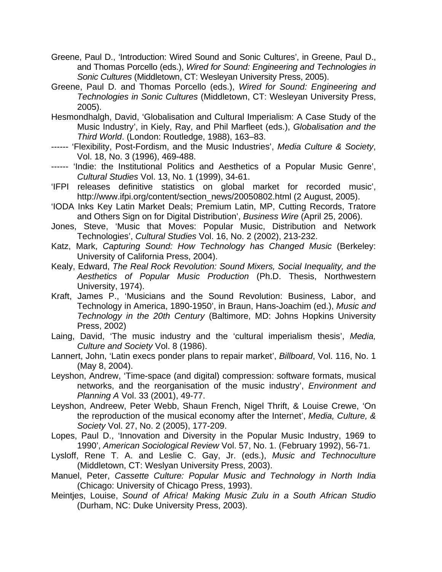- Greene, Paul D., 'Introduction: Wired Sound and Sonic Cultures', in Greene, Paul D., and Thomas Porcello (eds.), *Wired for Sound: Engineering and Technologies in Sonic Cultures* (Middletown, CT: Wesleyan University Press, 2005).
- Greene, Paul D. and Thomas Porcello (eds.), *Wired for Sound: Engineering and Technologies in Sonic Cultures* (Middletown, CT: Wesleyan University Press, 2005).
- Hesmondhalgh, David, 'Globalisation and Cultural Imperialism: A Case Study of the Music Industry', in Kiely, Ray, and Phil Marfleet (eds.), *Globalisation and the Third World*. (London: Routledge, 1988), 163–83.
- ------ 'Flexibility, Post-Fordism, and the Music Industries', *Media Culture & Society*, Vol. 18, No. 3 (1996), 469-488.
- ------ 'Indie: the Institutional Politics and Aesthetics of a Popular Music Genre', *Cultural Studies* Vol. 13, No. 1 (1999), 34-61.
- 'IFPI releases definitive statistics on global market for recorded music', http://www.ifpi.org/content/section\_news/20050802.html (2 August, 2005).
- 'IODA Inks Key Latin Market Deals; Premium Latin, MP, Cutting Records, Tratore and Others Sign on for Digital Distribution', *Business Wire* (April 25, 2006).
- Jones, Steve, 'Music that Moves: Popular Music, Distribution and Network Technologies', *Cultural Studies* Vol. 16, No. 2 (2002), 213-232.
- Katz, Mark, *Capturing Sound: How Technology has Changed Music* (Berkeley: University of California Press, 2004).
- Kealy, Edward, *The Real Rock Revolution: Sound Mixers, Social Inequality, and the Aesthetics of Popular Music Production* (Ph.D. Thesis, Northwestern University, 1974).
- Kraft, James P., 'Musicians and the Sound Revolution: Business, Labor, and Technology in America, 1890-1950', in Braun, Hans-Joachim (ed.), *Music and Technology in the 20th Century* (Baltimore, MD: Johns Hopkins University Press, 2002)
- Laing, David, 'The music industry and the 'cultural imperialism thesis', *Media, Culture and Society* Vol. 8 (1986).
- Lannert, John, 'Latin execs ponder plans to repair market', *Billboard*, Vol. 116, No. 1 (May 8, 2004).
- Leyshon, Andrew, 'Time-space (and digital) compression: software formats, musical networks, and the reorganisation of the music industry', *Environment and Planning A* Vol. 33 (2001), 49-77.
- Leyshon, Andreew, Peter Webb, Shaun French, Nigel Thrift, & Louise Crewe, 'On the reproduction of the musical economy after the Internet', *Media, Culture, & Society* Vol. 27, No. 2 (2005), 177-209.
- Lopes, Paul D., 'Innovation and Diversity in the Popular Music Industry, 1969 to 1990', *American Sociological Review* Vol. 57, No. 1. (February 1992), 56-71.
- Lysloff, Rene T. A. and Leslie C. Gay, Jr. (eds.), *Music and Technoculture* (Middletown, CT: Weslyan University Press, 2003).
- Manuel, Peter, *Cassette Culture: Popular Music and Technology in North India* (Chicago: University of Chicago Press, 1993).
- Meintjes, Louise, *Sound of Africa! Making Music Zulu in a South African Studio* (Durham, NC: Duke University Press, 2003).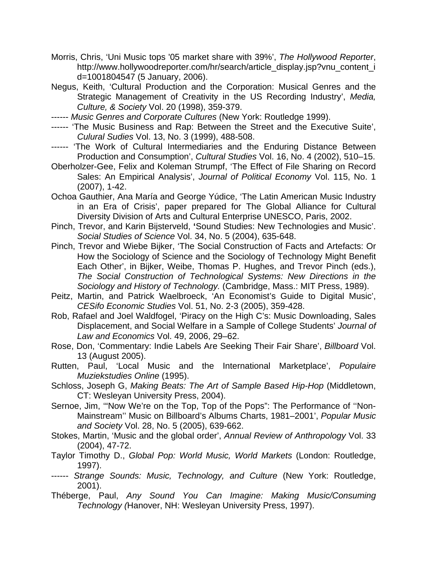- Morris, Chris, 'Uni Music tops '05 market share with 39%', *The Hollywood Reporter*, http://www.hollywoodreporter.com/hr/search/article\_display.jsp?vnu\_content\_i d=1001804547 (5 January, 2006).
- Negus, Keith, 'Cultural Production and the Corporation: Musical Genres and the Strategic Management of Creativity in the US Recording Industry', *Media, Culture, & Society* Vol. 20 (1998), 359-379.
- ------ *Music Genres and Corporate Cultures* (New York: Routledge 1999).
- ------ 'The Music Business and Rap: Between the Street and the Executive Suite', *Culural Sudies* Vol. 13, No. 3 (1999), 488-508.
- ------ 'The Work of Cultural Intermediaries and the Enduring Distance Between Production and Consumption', *Cultural Studies* Vol. 16, No. 4 (2002), 510–15.
- Oberholzer-Gee, Felix and Koleman Strumpf, 'The Effect of File Sharing on Record Sales: An Empirical Analysis', *Journal of Political Economy* Vol. 115, No. 1 (2007), 1-42.
- Ochoa Gauthier, Ana María and George Yúdice, 'The Latin American Music Industry in an Era of Crisis', paper prepared for The Global Alliance for Cultural Diversity Division of Arts and Cultural Enterprise UNESCO, Paris, 2002.
- Pinch, Trevor, and Karin Bijsterveld, **'**Sound Studies: New Technologies and Music'. *Social Studies of Science* Vol. 34, No. 5 (2004), 635-648.
- Pinch, Trevor and Wiebe Bijker, 'The Social Construction of Facts and Artefacts: Or How the Sociology of Science and the Sociology of Technology Might Benefit Each Other', in Bijker, Weibe, Thomas P. Hughes, and Trevor Pinch (eds.), *The Social Construction of Technological Systems: New Directions in the Sociology and History of Technology.* (Cambridge, Mass.: MIT Press, 1989).
- Peitz, Martin, and Patrick Waelbroeck, 'An Economist's Guide to Digital Music', *CESifo Economic Studies* Vol. 51, No. 2-3 (2005), 359-428.
- Rob, Rafael and Joel Waldfogel, 'Piracy on the High C's: Music Downloading, Sales Displacement, and Social Welfare in a Sample of College Students' *Journal of Law and Economics* Vol. 49, 2006, 29–62.
- Rose, Don, 'Commentary: Indie Labels Are Seeking Their Fair Share', *Billboard* Vol. 13 (August 2005).
- Rutten, Paul, 'Local Music and the International Marketplace', *Populaire Muziekstudies Online* (1995).
- Schloss, Joseph G, *Making Beats: The Art of Sample Based Hip-Hop* (Middletown, CT: Wesleyan University Press, 2004).
- Sernoe, Jim, '"Now We're on the Top, Top of the Pops": The Performance of ''Non-Mainstream'' Music on Billboard's Albums Charts, 1981–2001', *Popular Music and Society* Vol. 28, No. 5 (2005), 639-662.
- Stokes, Martin, 'Music and the global order', *Annual Review of Anthropology* Vol. 33 (2004), 47-72.
- Taylor Timothy D., *Global Pop: World Music, World Markets* (London: Routledge, 1997).
- ------ *Strange Sounds: Music, Technology, and Culture* (New York: Routledge, 2001).
- Théberge, Paul, *Any Sound You Can Imagine: Making Music/Consuming Technology (*Hanover, NH: Wesleyan University Press, 1997).